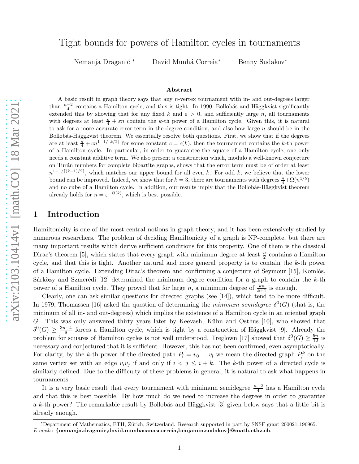# Tight bounds for powers of Hamilton cycles in tournaments

Nemanja Draganić \* David Munhá Correia<sup>\*</sup> Benny Sudakov<sup>\*</sup>

#### Abstract

A basic result in graph theory says that any n-vertex tournament with in- and out-degrees larger than  $\frac{n-2}{4}$  contains a Hamilton cycle, and this is tight. In 1990, Bollobás and Häggkvist significantly extended this by showing that for any fixed k and  $\varepsilon > 0$ , and sufficiently large n, all tournaments with degrees at least  $\frac{n}{4} + \varepsilon n$  contain the k-th power of a Hamilton cycle. Given this, it is natural to ask for a more accurate error term in the degree condition, and also how large  $n$  should be in the Bollobás-Häggkvist theorem. We essentially resolve both questions. First, we show that if the degrees are at least  $\frac{n}{4} + cn^{1-1/[k/2]}$  for some constant  $c = c(k)$ , then the tournament contains the k-th power of a Hamilton cycle. In particular, in order to guarantee the square of a Hamilton cycle, one only needs a constant additive term. We also present a construction which, modulo a well-known conjecture on Turán numbers for complete bipartite graphs, shows that the error term must be of order at least  $n^{1-1/[(k-1)/2]}$ , which matches our upper bound for all even k. For odd k, we believe that the lower bound can be improved. Indeed, we show that for  $k = 3$ , there are tournaments with degrees  $\frac{n}{4} + \Omega(n^{1/5})$ and no cube of a Hamilton cycle. In addition, our results imply that the Bollobás-Häggkvist theorem already holds for  $n = \varepsilon^{-\Theta(k)}$ , which is best possible.

### 1 Introduction

Hamiltonicity is one of the most central notions in graph theory, and it has been extensively studied by numerous researchers. The problem of deciding Hamiltonicity of a graph is NP-complete, but there are many important results which derive sufficient conditions for this property. One of them is the classical Dirac's theorem [\[5\]](#page-24-0), which states that every graph with minimum degree at least  $\frac{n}{2}$  contains a Hamilton cycle, and that this is tight. Another natural and more general property is to contain the k-th power of a Hamilton cycle. Extending Dirac's theorem and confirming a conjecture of Seymour [\[15](#page-24-1)], Komlós, Sárközy and Szmerédi  $[12]$  determined the minimum degree condition for a graph to contain the k-th power of a Hamilton cycle. They proved that for large n, a minimum degree of  $\frac{kn}{k+1}$  is enough.

Clearly, one can ask similar questions for directed graphs (see [\[14\]](#page-24-3)), which tend to be more difficult. In 1979, Thomassen [\[16](#page-24-4)] asked the question of determining the *minimum semidegree*  $\delta^0(G)$  (that is, the minimum of all in- and out-degrees) which implies the existence of a Hamilton cycle in an oriented graph G. This was only answered thirty years later by Keevash, Kühn and Osthus [\[10](#page-24-5)], who showed that  $\delta^0(G) \geq \frac{3n-4}{8}$  forces a Hamilton cycle, which is tight by a construction of Häggkvist [\[9](#page-24-6)]. Already the problem for squares of Hamilton cycles is not well understood. Treglown [\[17](#page-24-7)] showed that  $\delta^0(G) \ge \frac{5n}{12}$  is necessary and conjectured that it is sufficient. However, this has not been confirmed, even asymptotically. For clarity, by the k-th power of the directed path  $P_l = v_0 \dots v_l$  we mean the directed graph  $P_l^k$  on the same vertex set with an edge  $v_i v_j$  if and only if  $i < j \leq i + k$ . The k-th power of a directed cycle is similarly defined. Due to the difficulty of these problems in general, it is natural to ask what happens in tournaments.

It is a very basic result that every tournament with minimum semidegree  $\frac{n-2}{4}$  has a Hamilton cycle and that this is best possible. By how much do we need to increase the degrees in order to guarantee a k-th power? The remarkable result by Bollobás and Häggkvist [\[3](#page-24-8)] given below says that a little bit is already enough.

<span id="page-0-0"></span><sup>∗</sup>Department of Mathematics, ETH, Z¨urich, Switzerland. Research supported in part by SNSF grant 200021 196965.  $E$ -mails: {nemanja.draganic,david.munhacanascorreia,benjamin.sudakov}@math.ethz.ch.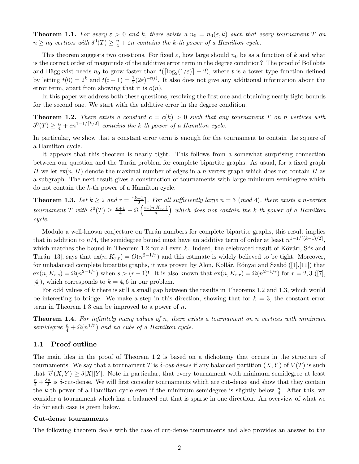**Theorem 1.1.** For every  $\varepsilon > 0$  and k, there exists a  $n_0 = n_0(\varepsilon, k)$  such that every tournament T on  $n \geq n_0$  vertices with  $\delta^0(T) \geq \frac{n}{4} + \varepsilon n$  contains the k-th power of a Hamilton cycle.

This theorem suggests two questions. For fixed  $\varepsilon$ , how large should  $n_0$  be as a function of k and what is the correct order of magnitude of the additive error term in the degree condition? The proof of Bollobás and Häggkvist needs  $n_0$  to grow faster than  $t(\lceil \log_2(1/\varepsilon) \rceil + 2)$ , where t is a tower-type function defined by letting  $t(0) = 2^k$  and  $t(i + 1) = \frac{1}{2}(2\varepsilon)^{-t(i)}$ . It also does not give any additional information about the error term, apart from showing that it is  $o(n)$ .

<span id="page-1-0"></span>In this paper we address both these questions, resolving the first one and obtaining nearly tight bounds for the second one. We start with the additive error in the degree condition.

**Theorem 1.2.** There exists a constant  $c = c(k) > 0$  such that any tournament T on n vertices with  $\delta^{0}(T) \geq \frac{n}{4} + cn^{1-1/\lceil k/2 \rceil}$  contains the k-th power of a Hamilton cycle.

In particular, we show that a constant error term is enough for the tournament to contain the square of a Hamilton cycle.

It appears that this theorem is nearly tight. This follows from a somewhat surprising connection between our question and the Turán problem for complete bipartite graphs. As usual, for a fixed graph H we let  $ex(n, H)$  denote the maximal number of edges in a *n*-vertex graph which does not contain H as a subgraph. The next result gives a construction of tournaments with large minimum semidegree which do not contain the k-th power of a Hamilton cycle.

<span id="page-1-1"></span>**Theorem 1.3.** Let  $k \geq 2$  and  $r = \lceil \frac{k-1}{2} \rceil$ . For all sufficiently large  $n = 3 \pmod{4}$ , there exists a n-vertex tournament T with  $\delta^0(T) \geq \frac{n+1}{4} + \Omega\left(\frac{ex(n,K_{r,r})}{n}\right)$  $\left(\frac{K_{r,r}}{n}\right)$  which does not contain the k-th power of a Hamilton cycle.

Modulo a well-known conjecture on Turán numbers for complete bipartite graphs, this result implies that in addition to  $n/4$ , the semidegree bound must have an additive term of order at least  $n^{1-1/[(k-1)/2]}$ , which matches the bound in Theorem [1.2](#page-1-0) for all even  $k$ . Indeed, the celebrated result of Kövári, Sós and Turán [\[13](#page-24-9)], says that  $ex(n, K_{r,r}) = O(n^{2-1/r})$  and this estimate is widely believed to be tight. Moreover, for unbalanced complete bipartite graphs, it was proven by Alon, Kollár, Rónyai and Szabó ([\[1\]](#page-24-10),[\[11\]](#page-24-11)) that  $ex(n, K_{r,s}) = \Omega(n^{2-1/r})$  when  $s > (r-1)!$ . It is also known that  $ex(n, K_{r,r}) = \Omega(n^{2-1/r})$  for  $r = 2, 3$  ([\[7](#page-24-12)], [\[4](#page-24-13)]), which corresponds to  $k = 4, 6$  in our problem.

For odd values of k there is still a small gap between the results in Theorems [1.2](#page-1-0) and [1.3,](#page-1-1) which would be interesting to bridge. We make a step in this direction, showing that for  $k = 3$ , the constant error term in Theorem [1.3](#page-1-1) can be improved to a power of  $n$ .

<span id="page-1-2"></span>**Theorem 1.4.** For infinitely many values of n, there exists a tournament on n vertices with minimum semidegree  $\frac{n}{4} + \Omega(n^{1/5})$  and no cube of a Hamilton cycle.

### <span id="page-1-3"></span>1.1 Proof outline

The main idea in the proof of Theorem [1.2](#page-1-0) is based on a dichotomy that occurs in the structure of tournaments. We say that a tournament T is  $\delta$ -cut-dense if any balanced partition  $(X, Y)$  of  $V(T)$  is such that  $\vec{e}(X, Y) \ge \delta |X||Y|$ . Note in particular, that every tournament with minimum semidegree at least  $\frac{n}{4}+\frac{\delta n}{2}$  $\frac{2m}{2}$  is  $\delta$ -cut-dense. We will first consider tournaments which are cut-dense and show that they contain the k-th power of a Hamilton cycle even if the minimum semidegree is slightly below  $\frac{n}{4}$ . After this, we consider a tournament which has a balanced cut that is sparse in one direction. An overview of what we do for each case is given below.

#### Cut-dense tournaments

The following theorem deals with the case of cut-dense tournaments and also provides an answer to the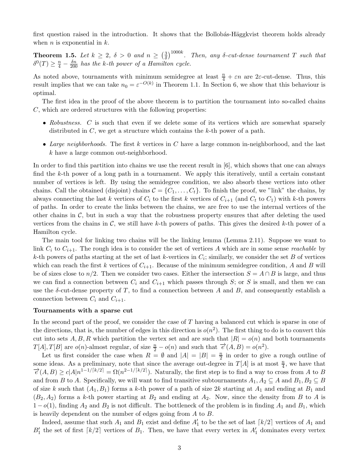<span id="page-2-0"></span>first question raised in the introduction. It shows that the Bollobas-Häggkvist theorem holds already when *n* is exponential in  $k$ .

**Theorem 1.5.** Let  $k \geq 2$ ,  $\delta > 0$  and  $n \geq \left(\frac{3}{\delta}\right)$  $\frac{3}{\delta})^{1000k}$ . Then, any  $\delta$ -cut-dense tournament T such that  $\delta^0(T) \geq \frac{n}{4} - \frac{\delta n}{200}$  has the k-th power of a Hamilton cycle.

As noted above, tournaments with minimum semidegree at least  $\frac{n}{4} + \varepsilon n$  are 2 $\varepsilon$ -cut-dense. Thus, this result implies that we can take  $n_0 = \varepsilon^{-O(k)}$  in Theorem [1.1.](#page-0-0) In Section [6,](#page-21-0) we show that this behaviour is optimal.

The first idea in the proof of the above theorem is to partition the tournament into so-called chains C, which are ordered structures with the following properties:

- Robustness. C is such that even if we delete some of its vertices which are somewhat sparsely distributed in  $C$ , we get a structure which contains the k-th power of a path.
- Large neighborhoods. The first  $k$  vertices in  $C$  have a large common in-neighborhood, and the last k have a large common out-neighborhood.

In order to find this partition into chains we use the recent result in [\[6\]](#page-24-14), which shows that one can always find the k-th power of a long path in a tournament. We apply this iteratively, until a certain constant number of vertices is left. By using the semidegree condition, we also absorb these vertices into other chains. Call the obtained (disjoint) chains  $C = \{C_1, \ldots, C_t\}$ . To finish the proof, we "link" the chains, by always connecting the last k vertices of  $C_i$  to the first k vertices of  $C_{i+1}$  (and  $C_t$  to  $C_1$ ) with k-th powers of paths. In order to create the links between the chains, we are free to use the internal vertices of the other chains in  $\mathcal{C}$ , but in such a way that the robustness property ensures that after deleting the used vertices from the chains in  $\mathcal{C}$ , we still have k-th powers of paths. This gives the desired k-th power of a Hamilton cycle.

The main tool for linking two chains will be the linking lemma (Lemma [2.11\)](#page-6-0). Suppose we want to link  $C_i$  to  $C_{i+1}$ . The rough idea is to consider the set of vertices A which are in some sense reachable by k-th powers of paths starting at the set of last k-vertices in  $C_i$ ; similarly, we consider the set B of vertices which can reach the first k vertices of  $C_{i+1}$ . Because of the minimum semidegree condition, A and B will be of sizes close to  $n/2$ . Then we consider two cases. Either the intersection  $S = A \cap B$  is large, and thus we can find a connection between  $C_i$  and  $C_{i+1}$  which passes through S; or S is small, and then we can use the  $\delta$ -cut-dense property of T, to find a connection between A and B, and consequently establish a connection between  $C_i$  and  $C_{i+1}$ .

#### Tournaments with a sparse cut

In the second part of the proof, we consider the case of T having a balanced cut which is sparse in one of the directions, that is, the number of edges in this direction is  $o(n^2)$ . The first thing to do is to convert this cut into sets A, B, R which partition the vertex set and are such that  $|R| = o(n)$  and both tournaments  $T[A], T[B]$  are  $o(n)$ -almost regular, of size  $\frac{n}{2} - o(n)$  and such that  $\overrightarrow{e}(A, B) = o(n^2)$ .

Let us first consider the case when  $R = \emptyset$  and  $|A| = |B| = \frac{n}{2}$  $\frac{n}{2}$  in order to give a rough outline of some ideas. As a preliminary, note that since the average out-degree in  $T[A]$  is at most  $\frac{n}{4}$ , we have that  $\vec{e}(A,B) \ge c|A|n^{1-1/[k/2]} = \Omega(n^{2-1/[k/2]})$ . Naturally, the first step is to find a way to cross from A to B and from B to A. Specifically, we will want to find transitive subtournaments  $A_1, A_2 \subseteq A$  and  $B_1, B_2 \subseteq B$ of size k such that  $(A_1, B_1)$  forms a k-th power of a path of size 2k starting at  $A_1$  and ending at  $B_1$  and  $(B_2, A_2)$  forms a k-th power starting at  $B_2$  and ending at  $A_2$ . Now, since the density from B to A is  $1-o(1)$ , finding  $A_2$  and  $B_2$  is not difficult. The bottleneck of the problem is in finding  $A_1$  and  $B_1$ , which is heavily dependent on the number of edges going from A to B.

Indeed, assume that such  $A_1$  and  $B_1$  exist and define  $A'_1$  to be the set of last  $\lceil k/2 \rceil$  vertices of  $A_1$  and  $B'_1$  the set of first  $\lceil k/2 \rceil$  vertices of  $B_1$ . Then, we have that every vertex in  $A'_1$  dominates every vertex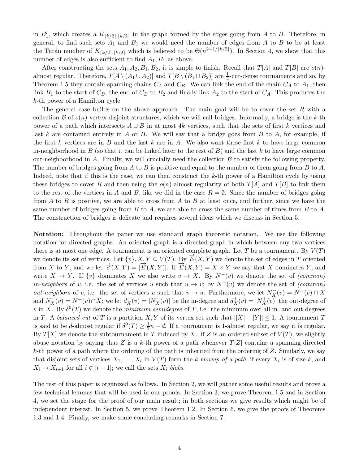in  $B'_{1}$ , which creates a  $K_{\lceil k/2 \rceil, \lceil k/2 \rceil}$  in the graph formed by the edges going from A to B. Therefore, in general, to find such sets  $A_1$  and  $B_1$  we would need the number of edges from A to B to be at least the Turán number of  $K_{\lceil k/2 \rceil, \lceil k/2 \rceil}$  which is believed to be  $\Theta(n^{2-1/\lceil k/2 \rceil})$ . In Section [4,](#page-11-0) we show that this number of edges is also sufficient to find  $A_1, B_1$  as above.

After constructing the sets  $A_1, A_2, B_1, B_2$ , it is simple to finish. Recall that  $T[A]$  and  $T[B]$  are  $o(n)$ almost regular. Therefore,  $T[A \setminus (A_1 \cup A_2)]$  and  $T[B \setminus (B_1 \cup B_2)]$  are  $\frac{1}{4}$ -cut-dense tournaments and so, by Theorem [1.5](#page-2-0) they contain spanning chains  $C_A$  and  $C_B$ . We can link the end of the chain  $C_A$  to  $A_1$ , then link  $B_1$  to the start of  $C_B$ , the end of  $C_B$  to  $B_2$  and finally link  $A_2$  to the start of  $C_A$ . This produces the k-th power of a Hamilton cycle.

The general case builds on the above approach. The main goal will be to cover the set  $R$  with a collection  $\mathcal B$  of  $o(n)$  vertex-disjoint structures, which we will call bridges. Informally, a bridge is the k-th power of a path which intersects  $A \cup B$  in at most 4k vertices, such that the sets of first k vertices and last k are contained entirely in A or B. We will say that a bridge goes from B to A, for example, if the first k vertices are in B and the last k are in A. We also want these first k to have large common in-neighborhood in  $B$  (so that it can be linked later to the rest of  $B$ ) and the last k to have large common out-neighborhood in A. Finally, we will crucially need the collection  $\beta$  to satisfy the following property. The number of bridges going from  $A$  to  $B$  is positive and equal to the number of them going from  $B$  to  $A$ . Indeed, note that if this is the case, we can then construct the  $k$ -th power of a Hamilton cycle by using these bridges to cover R and then using the  $o(n)$ -almost regularity of both  $T[A]$  and  $T[B]$  to link them to the rest of the vertices in A and B, like we did in the case  $R = \emptyset$ . Since the number of bridges going from A to B is positive, we are able to cross from A to B at least once, and further, since we have the same number of bridges going from  $B$  to  $A$ , we are able to cross the same number of times from  $B$  to  $A$ . The construction of bridges is delicate and requires several ideas which we discuss in Section [5.](#page-13-0)

Notation: Throughout the paper we use standard graph theoretic notation. We use the following notation for directed graphs. An oriented graph is a directed graph in which between any two vertices there is at most one edge. A tournament is an oriented complete graph. Let T be a tournament. By  $V(T)$ we denote its set of vertices. Let  $\{v\}, X, Y \subseteq V(T)$ . By  $\overrightarrow{E}(X, Y)$  we denote the set of edges in T oriented from X to Y, and we let  $\overrightarrow{e}(X,Y) = |\overrightarrow{E}(X,Y)|$ . If  $\overrightarrow{E}(X,Y) = X \times Y$  we say that X dominates Y, and write  $X \to Y$ . If  $\{v\}$  dominates X we also write  $v \to X$ . By  $N^-(v)$  we denote the set of (common) *in-neighbors* of v, i.e. the set of vertices u such that  $u \to v$ ; by  $N^+(v)$  we denote the set of (common) *out-neighbors* of v, i.e. the set of vertices u such that  $v \to u$ . Furthermore, we let  $N_X^-(v) = N^-(v) \cap X$ and  $N_X^+(v) = N^+(v) \cap X$ ; we let  $d_X^-(v) = |N_X^-(v)|$  be the in-degree and  $d_X^+(v) = |N_X^+(v)|$  the out-degree of v in X. By  $\delta^0(T)$  we denote the *minimum semidegree* of T, i.e. the minimum over all in- and out-degrees in T. A balanced cut of T is a partition X, Y of its vertex set such that  $||X| - |Y|| \leq 1$ . A tournament T is said to be *d*-almost regular if  $\delta^0(T) \geq \frac{1}{2}$  $\frac{1}{2}n - d$ . If a tournament is 1-almost regular, we say it is regular. By  $T[X]$  we denote the subtournament in T induced by X. If Z is an ordered subset of  $V(T)$ , we slightly abuse notation by saying that Z is a k-th power of a path whenever  $T[Z]$  contains a spanning directed  $k$ -th power of a path where the ordering of the path is inherited from the ordering of  $Z$ . Similarly, we say that disjoint sets of vertices  $X_1, \ldots, X_t$  in  $V(T)$  form the k-blowup of a path, if every  $X_i$  is of size k, and  $X_i \to X_{i+1}$  for all  $i \in [t-1]$ ; we call the sets  $X_i$  blobs.

The rest of this paper is organized as follows. In Section [2,](#page-4-0) we will gather some useful results and prove a few technical lemmas that will be used in our proofs. In Section [3,](#page-9-0) we prove Theorem [1.5](#page-2-0) and in Section [4,](#page-11-0) we set the stage for the proof of our main result; in both sections we give results which might be of independent interest. In Section [5,](#page-13-0) we prove Theorem [1.2.](#page-1-0) In Section [6,](#page-21-0) we give the proofs of Theorems [1.3](#page-1-1) and [1.4.](#page-1-2) Finally, we make some concluding remarks in Section [7.](#page-23-0)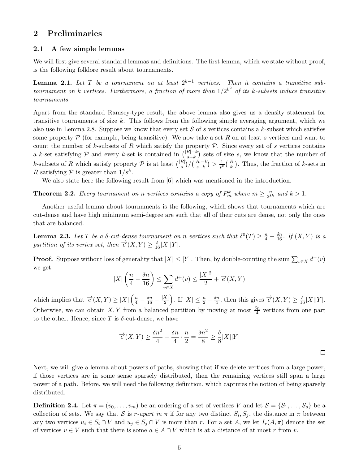### <span id="page-4-0"></span>2 Preliminaries

### 2.1 A few simple lemmas

<span id="page-4-1"></span>We will first give several standard lemmas and definitions. The first lemma, which we state without proof, is the following folklore result about tournaments.

**Lemma 2.1.** Let T be a tournament on at least  $2^{k-1}$  vertices. Then it contains a transitive subtournament on k vertices. Furthermore, a fraction of more than  $1/2^{k^2}$  of its k-subsets induce transitive tournaments.

Apart from the standard Ramsey-type result, the above lemma also gives us a density statement for transitive tournaments of size  $k$ . This follows from the following simple averaging argument, which we also use in Lemma [2.8.](#page-5-0) Suppose we know that every set S of s vertices contains a k-subset which satisfies some property  $P$  (for example, being transitive). We now take a set R on at least s vertices and want to count the number of k-subsets of R which satisfy the property  $P$ . Since every set of s vertices contains a k-set satisfying  $P$  and every k-set is contained in  $\binom{|R|-k}{s-k}$  $\binom{K[-k]}{s-k}$  sets of size s, we know that the number of k-subsets of R which satisfy property  $P$  is at least  $\binom{|R|}{s}/\binom{|R|-k}{s-k}$  $\binom{R|-k}{s-k} > \frac{1}{s^k} \binom{|R|}{k}$ . Thus, the fraction of k-sets in R satisfying  $P$  is greater than  $1/s<sup>k</sup>$ .

<span id="page-4-2"></span>We also state here the following result from [\[6](#page-24-14)] which was mentioned in the introduction.

**Theorem 2.2.** Every tournament on n vertices contains a copy of  $P_m^k$  where  $m \geq \frac{n}{2^{8k}}$  $\frac{n}{2^{8k}}$  and  $k > 1$ .

Another useful lemma about tournaments is the following, which shows that tournaments which are cut-dense and have high minimum semi-degree are such that all of their cuts are dense, not only the ones that are balanced.

<span id="page-4-3"></span>**Lemma 2.3.** Let T be a  $\delta$ -cut-dense tournament on n vertices such that  $\delta^0(T) \geq \frac{n}{4} - \frac{\delta n}{16}$ . If  $(X, Y)$  is a partition of its vertex set, then  $\overrightarrow{e}(X,Y) \geq \frac{\delta}{16}|X||Y|$ .

**Proof.** Suppose without loss of generality that  $|X| \leq |Y|$ . Then, by double-counting the sum  $\sum_{v \in X} d^+(v)$ we get

$$
|X| \left(\frac{n}{4} - \frac{\delta n}{16}\right) \le \sum_{v \in X} d^+(v) \le \frac{|X|^2}{2} + \overrightarrow{e}(X, Y)
$$

which implies that  $\overrightarrow{e}(X,Y) \ge |X| \left(\frac{n}{4} - \frac{\delta n}{16} - \frac{|X|}{2}\right)$ . If  $|X| \le \frac{n}{2} - \frac{\delta n}{4}$ , then this gives  $\overrightarrow{e}(X,Y) \ge \frac{\delta}{16}|X||Y|$ . Otherwise, we can obtain X, Y from a balanced partition by moving at most  $\frac{\delta n}{4}$  vertices from one part to the other. Hence, since T is  $\delta$ -cut-dense, we have

$$
\overrightarrow{e}(X,Y) \ge \frac{\delta n^2}{4} - \frac{\delta n}{4} \cdot \frac{n}{2} = \frac{\delta n^2}{8} \ge \frac{\delta}{8}|X||Y|
$$

 $\Box$ 

Next, we will give a lemma about powers of paths, showing that if we delete vertices from a large power, if those vertices are in some sense sparsely distributed, then the remaining vertices still span a large power of a path. Before, we will need the following definition, which captures the notion of being sparsely distributed.

<span id="page-4-4"></span>**Definition 2.4.** Let  $\pi = (v_0, \ldots, v_m)$  be an ordering of a set of vertices V and let  $S = \{S_1, \ldots, S_q\}$  be a collection of sets. We say that S is r-apart in  $\pi$  if for any two distinct  $S_i, S_j$ , the distance in  $\pi$  between any two vertices  $u_i \in S_i \cap V$  and  $u_j \in S_j \cap V$  is more than r. For a set A, we let  $I_r(A, \pi)$  denote the set of vertices  $v \in V$  such that there is some  $a \in A \cap V$  which is at a distance of at most r from v.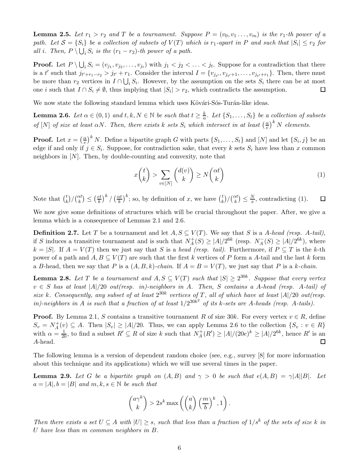**Lemma 2.5.** Let  $r_1 > r_2$  and T be a tournament. Suppose  $P = (v_0, v_1, \ldots, v_m)$  is the  $r_1$ -th power of a path. Let  $S = \{S_i\}$  be a collection of subsets of  $V(T)$  which is  $r_1$ -apart in P and such that  $|S_i| \leq r_2$  for all i. Then,  $P \setminus \bigcup_i S_i$  is the  $(r_1 - r_2)$ -th power of a path.

**Proof.** Let  $P \setminus \bigcup_i S_i = (v_{j_1}, v_{j_2}, \dots, v_{j_t})$  with  $j_1 < j_2 < \dots < j_t$ . Suppose for a contradiction that there is a t' such that  $j_{t'+r_1-r_2} > j_{t'} + r_1$ . Consider the interval  $I = \{v_{j_{t'}}, v_{j_{t'}+1}, \ldots, v_{j_{t'}+r_1}\}$ . Then, there must be more than  $r_2$  vertices in  $I \cap \bigcup_i S_i$ . However, by the assumption on the sets  $S_i$  there can be at most  $\Box$ one *i* such that  $I \cap S_i \neq \emptyset$ , thus implying that  $|S_i| > r_2$ , which contradicts the assumption.

<span id="page-5-2"></span>We now state the following standard lemma which uses Kövári-Sós-Turán-like ideas.

**Lemma 2.6.** Let  $\alpha \in (0,1)$  and  $t, k, N \in \mathbb{N}$  be such that  $t \geq \frac{k}{\alpha}$  $\frac{k}{\alpha}$ . Let  $\{S_1, \ldots, S_t\}$  be a collection of subsets of [N] of size at least  $\alpha N$ . Then, there exists k sets  $S_i$  which intersect in at least  $\left(\frac{\alpha}{e}\right)$  $(\frac{\alpha}{e})^k N$  elements.

**Proof.** Let  $x = \left(\frac{\alpha}{e}\right)$  $\frac{\alpha}{e}$ ,  $\int^k N$ . Define a bipartite graph G with parts  $\{S_1, \ldots, S_t\}$  and  $[N]$  and let  $\{S_i, j\}$  be an edge if and only if  $j \in S_i$ . Suppose, for contradiction sake, that every k sets  $S_i$  have less than x common neighbors in  $[N]$ . Then, by double-counting and convexity, note that

<span id="page-5-1"></span>
$$
x\binom{t}{k} > \sum_{v \in [N]} \binom{d(v)}{k} \ge N\binom{\alpha t}{k} \tag{1}
$$

 $\left(\frac{et}{k}\right)^k/\left(\frac{\alpha t}{k}\right)$  $\left(\frac{xt}{k}\right)^k$ ; so, by definition of x, we have  $\binom{t}{k}$ Note that  $\binom{t}{k}$  $\binom{t}{k} / \binom{\alpha t}{k} \leq \left(\frac{e t}{k}\right)$  $\binom{t}{k} / \binom{\alpha t}{k} \leq \frac{N}{x}$  $\frac{N}{x}$ , contradicting [\(1\)](#page-5-1).  $\Box$ 

We now give some definitions of structures which will be crucial throughout the paper. After, we give a lemma which is a consequence of Lemmas [2.1](#page-4-1) and [2.6.](#page-5-2)

**Definition 2.7.** Let T be a tournament and let  $A, S \subseteq V(T)$ . We say that S is a A-head (resp. A-tail), if S induces a transitive tournament and is such that  $N_A^+$  $A_{A}^{+}(S) \geq |A|/2^{6k}$  (resp.  $N_{A}^{-}(S) \geq |A|/2^{6k}$ ), where  $k = |S|$ . If  $A = V(T)$  then we just say that S is a head (resp. tail). Furthermore, if  $P \subseteq T$  is the k-th power of a path and  $A, B \subseteq V(T)$  are such that the first k vertices of P form a A-tail and the last k form a B-head, then we say that P is a  $(A, B, k)$ -chain. If  $A = B = V(T)$ , we just say that P is a k-chain.

<span id="page-5-0"></span>**Lemma 2.8.** Let T be a tournament and  $A, S \subseteq V(T)$  such that  $|S| \ge 2^{30k}$ . Suppose that every vertex  $v \in S$  has at least  $|A|/20$  out(resp. in)-neighbors in A. Then, S contains a A-head (resp. A-tail) of size k. Consequently, any subset of at least  $2^{30k}$  vertices of T, all of which have at least  $|A|/20$  out(resp. in)-neighbors in A is such that a fraction of at least  $1/2^{30k^2}$  of its k-sets are A-heads (resp. A-tails).

**Proof.** By Lemma [2.1,](#page-4-1) S contains a transitive tournament R of size 30k. For every vertex  $v \in R$ , define  $S_v = N_A^+$  $A^+(v) \subseteq A$ . Then  $|S_v| \geq |A|/20$ . Thus, we can apply Lemma [2.6](#page-5-2) to the collection  $\{S_v : v \in R\}$ with  $\alpha = \frac{1}{20}$ , to find a subset  $R' \subseteq R$  of size k such that  $N_A^+$  $A_A^+(R') \ge |A|/(20e)^k \ge |A|/2^{6k}$ , hence R' is an A-head.  $\Box$ 

<span id="page-5-3"></span>The following lemma is a version of dependent random choice (see, e.g., survey [\[8](#page-24-15)] for more information about this technique and its applications) which we will use several times in the paper.

**Lemma 2.9.** Let G be a bipartite graph on  $(A, B)$  and  $\gamma > 0$  be such that  $e(A, B) = \gamma |A||B|$ . Let  $a = |A|, b = |B|$  and  $m, k, s \in \mathbb{N}$  be such that

$$
\binom{a\gamma^k}{k} > 2s^k \max\left(\binom{a}{k} \left(\frac{m}{b}\right)^k, 1\right).
$$

Then there exists a set  $U \subseteq A$  with  $|U| \geq s$ , such that less than a fraction of  $1/s^k$  of the sets of size k in U have less than m common neighbors in B.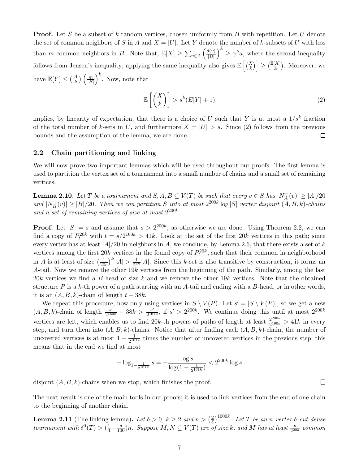**Proof.** Let S be a subset of k random vertices, chosen uniformly from B with repetition. Let U denote the set of common neighbors of S in A and  $X = |U|$ . Let Y denote the number of k-subsets of U with less than m common neighbors in B. Note that,  $\mathbb{E}[X] \ge \sum_{v \in A}$  $\int d(v)$  $|B|$  $\left\langle \right\rangle^k \geq \gamma^k a$ , where the second inequality follows from Jensen's inequality; applying the same inequality also gives  $\mathbb{E}\left[\binom{X}{k}\right] \geq \binom{\mathbb{E}[X]}{k}$ . Moreover, we have  $\mathbb{E}[Y] \leq {|\mathcal{A}| \choose k} \left( \frac{m}{|B|} \right)$  $|B|$  $\Big)^k$ . Now, note that

<span id="page-6-1"></span>
$$
\mathbb{E}\left[\binom{X}{k}\right] > s^k(E[Y]+1) \tag{2}
$$

implies, by linearity of expectation, that there is a choice of U such that Y is at most a  $1/s<sup>k</sup>$  fraction of the total number of k-sets in U, and furthermore  $X = |U| > s$ . Since [\(2\)](#page-6-1) follows from the previous bounds and the assumption of the lemma, we are done. bounds and the assumption of the lemma, we are done.

### 2.2 Chain partitioning and linking

<span id="page-6-2"></span>We will now prove two important lemmas which will be used throughout our proofs. The first lemma is used to partition the vertex set of a tournament into a small number of chains and a small set of remaining vertices.

**Lemma 2.10.** Let T be a tournament and  $S, A, B \subseteq V(T)$  be such that every  $v \in S$  has  $|N_A^-(v)| \ge |A|/20$ and  $|N_B^+$  $|B_{\text{B}}(v)| \geq |B|/20$ . Then we can partition S into at most  $2^{200k} \log |S|$  vertex disjoint  $(A, B, k)$ -chains and a set of remaining vertices of size at most  $2^{200k}$ .

**Proof.** Let  $|S| = s$  and assume that  $s > 2^{200k}$ , as otherwise we are done. Using Theorem [2.2,](#page-4-2) we can find a copy of  $P_t^{20k}$  with  $t = s/2^{160k} > 41k$ . Look at the set of the first  $20k$  vertices in this path; since every vertex has at least  $|A|/20$  in-neighbors in A, we conclude, by Lemma [2.6,](#page-5-2) that there exists a set of k vertices among the first  $20k$  vertices in the found copy of  $P_t^{20k}$ , such that their common in-neighborhood in A is at least of size  $\left(\frac{1}{20}\right)$  $\frac{1}{20e}\big)^k |A| > \frac{1}{2^6}$  $\frac{1}{2^{6k}}|A|$ . Since this k-set is also transitive by construction, it forms an A-tail. Now we remove the other 19k vertices from the beginning of the path. Similarly, among the last  $20k$  vertices we find a B-head of size k and we remove the other 19k vertices. Note that the obtained structure P is a k-th power of a path starting with an A-tail and ending with a B-head, or in other words, it is an  $(A, B, k)$ -chain of length  $t - 38k$ .

We repeat this procedure, now only using vertices in  $S \setminus V(P)$ . Let  $s' = |S \setminus V(P)|$ , so we get a new  $(A, B, k)$ -chain of length  $\frac{s'}{2^{160k}} - 38k > \frac{s'}{2^{16k}}$ vertices are left, which enables us to find 20k-th powers of paths of length at least  $\frac{2^{200k}}{2^{160k}}$  $\frac{s'}{161k}$ , if  $s' > 2^{200k}$ . We continue doing this until at most  $2^{200k}$  $\frac{2^{2000}}{2^{160k}} > 41k$  in every step, and turn them into  $(A, B, k)$ -chains. Notice that after finding each  $(A, B, k)$ -chain, the number of uncovered vertices is at most  $1 - \frac{1}{2^{16}}$  $\frac{1}{2^{161k}}$  times the number of uncovered vertices in the previous step; this means that in the end we find at most

$$
-\log_{1-\frac{1}{2^{161k}}} s = -\frac{\log s}{\log(1 - \frac{1}{2^{161k}})} < 2^{200k} \log s
$$

disjoint  $(A, B, k)$ -chains when we stop, which finishes the proof.

<span id="page-6-0"></span>The next result is one of the main tools in our proofs; it is used to link vertices from the end of one chain to the beginning of another chain.

**Lemma 2.11** (The linking lemma). Let  $\delta > 0$ ,  $k \ge 2$  and  $n > \left(\frac{2}{\delta}\right)$  $\frac{2}{\delta})^{1000k}$ . Let T be an n-vertex  $\delta$ -cut-dense tournament with  $\delta^0(T) > (\frac{1}{4} - \frac{\delta}{100})n$ . Suppose  $M, N \subseteq V(T)$  are of size k, and M has at least  $\frac{n}{2^{20k}}$  common

 $\Box$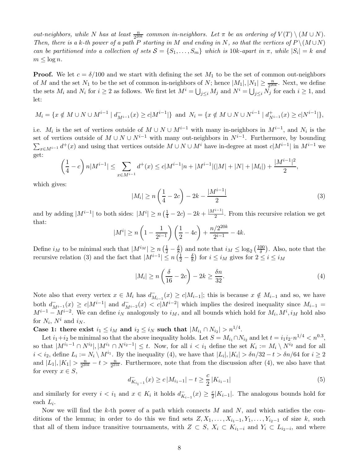out-neighbors, while N has at least  $\frac{n}{2^{20k}}$  common in-neighbors. Let  $\pi$  be an ordering of  $V(T) \setminus (M \cup N)$ . Then, there is a k-th power of a path P starting in M and ending in N, so that the vertices of  $P \setminus (M \cup N)$ can be partitioned into a collection of sets  $S = \{S_1, \ldots, S_m\}$  which is 10k-apart in  $\pi$ , while  $|S_i| = k$  and  $m \leq \log n$ .

**Proof.** We let  $c = \delta/100$  and we start with defining the set  $M_1$  to be the set of common out-neighbors of M and the set  $N_1$  to be the set of common in-neighbors of N; hence  $|M_1|, |N_1| \geq \frac{n}{2^{20k}}$ . Next, we define the sets  $M_i$  and  $N_i$  for  $i \geq 2$  as follows. We first let  $M^i = \bigcup_{j \leq i} M_j$  and  $N^i = \bigcup_{j \leq i} N_j$  for each  $i \geq 1$ , and let:

$$
M_i = \{ x \notin M \cup N \cup M^{i-1} \mid d_{M^{i-1}}^-(x) \ge c |M^{i-1}| \} \text{ and } N_i = \{ x \notin M \cup N \cup N^{i-1} \mid d_{N^{i-1}}^+(x) \ge c |N^{i-1}| \},
$$

i.e.  $M_i$  is the set of vertices outside of  $M \cup N \cup M^{i-1}$  with many in-neighbors in  $M^{i-1}$ , and  $N_i$  is the set of vertices outside of  $M \cup N \cup N^{i-1}$  with many out-neighbors in  $N^{i-1}$ . Furthermore, by bounding  $\sum_{x \in M^{i-1}} d^+(x)$  and using that vertices outside  $M \cup N \cup M^i$  have in-degree at most  $c|M^{i-1}|$  in  $M^{i-1}$  we get:

$$
\left(\frac{1}{4}-c\right)n|M^{i-1}| \leq \sum_{x \in M^{i-1}} d^+(x) \leq c|M^{i-1}|n+|M^{i-1}|(|M|+|N|+|M_i|) + \frac{|M^{i-1}|^2}{2},
$$

which gives:

<span id="page-7-0"></span>
$$
|M_i| \ge n\left(\frac{1}{4} - 2c\right) - 2k - \frac{|M^{i-1}|}{2} \tag{3}
$$

and by adding  $|M^{i-1}|$  to both sides:  $|M^i| \ge n\left(\frac{1}{4} - 2c\right) - 2k + \frac{|M^{i-1}|}{2}$ . From this recursive relation we get that:

$$
|M^{i}| \ge n\left(1 - \frac{1}{2^{i-1}}\right)\left(\frac{1}{2} - 4c\right) + \frac{n/2^{20k}}{2^{i-1}} - 4k.
$$

Define  $i_M$  to be minimal such that  $|M^{i_M}| \geq n \left(\frac{1}{2} - \frac{\delta}{8}\right)$  $\left(\frac{\delta}{\delta}\right)$  and note that  $i_M \leq \log_2\left(\frac{100}{\delta}\right)$  $\frac{00}{\delta}$ ). Also, note that the recursive relation [\(3\)](#page-7-0) and the fact that  $|M^{i-1}| \le n \left(\frac{1}{2} - \frac{\delta}{8}\right)$  $\frac{\delta}{8}$ ) for  $i \leq i_M$  gives for  $2 \leq i \leq i_M$ 

<span id="page-7-1"></span>
$$
|M_i| \ge n\left(\frac{\delta}{16} - 2c\right) - 2k \ge \frac{\delta n}{32}.\tag{4}
$$

Note also that every vertex  $x \in M_i$  has  $d_{M_{i-1}}^-(x) \ge c|M_{i-1}|$ ; this is because  $x \notin M_{i-1}$  and so, we have both  $d_{M^{i-1}}^-(x) \ge c|M^{i-1}|$  and  $d_{M^{i-2}}^-(x) < c|M^{i-2}|$  which implies the desired inequality since  $M_{i-1} =$  $M^{i-1} - M^{i-2}$ . We can define  $i_N$  analogously to  $i_M$ , and all bounds which hold for  $M_i, M^i, i_M$  hold also for  $N_i$ ,  $N^i$  and  $i_N$ .

Case 1: there exist  $i_1 \leq i_M$  and  $i_2 \leq i_N$  such that  $|M_{i_1} \cap N_{i_2}| > n^{1/4}$ .

Let  $i_1+i_2$  be minimal so that the above inequality holds. Let  $S = M_{i_1} \cap N_{i_2}$  and let  $t = i_1 i_2 \cdot n^{1/4} < n^{0.3}$ , so that  $|M^{i_1-1} \cap N^{i_2}|, |M^{i_1} \cap N^{i_2-1}| \leq t$ . Now, for all  $i < i_1$  define the set  $K_i := M_i \setminus N^{i_2}$  and for all  $i < i_2$ , define  $L_i := N_i \setminus M^{i_1}$ . By the inequality [\(4\)](#page-7-1), we have that  $|L_i|, |K_i| > \delta n/32 - t > \delta n/64$  for  $i \ge 2$ and  $|L_1|, |K_1| > \frac{n}{2^{20}}$  $\frac{n}{2^{20k}} - t > \frac{n}{2^{21k}}$ . Furthermore, note that from the discussion after [\(4\)](#page-7-1), we also have that for every  $x \in S$ ,

<span id="page-7-2"></span>
$$
d_{K_{i_1-1}}^-(x) \ge c \left| M_{i_1-1} \right| - t \ge \frac{c}{2} \left| K_{i_1-1} \right| \tag{5}
$$

and similarly for every  $i < i_1$  and  $x \in K_i$  it holds  $d_{K_{i-1}}^-(x) \geq \frac{c}{2}|K_{i-1}|$ . The analogous bounds hold for each  $L_i$ .

Now we will find the k-th power of a path which connects  $M$  and  $N$ , and which satisfies the conditions of the lemma; in order to do this we find sets  $Z, X_1, \ldots, X_{i_1-1}, Y_1, \ldots, Y_{i_2-1}$  of size k, such that all of them induce transitive tournaments, with  $Z \subset S$ ,  $X_i \subset K_{i_1-i}$  and  $Y_i \subset L_{i_2-i}$ , and where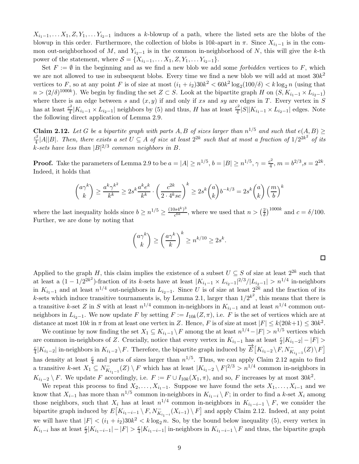$X_{i_1-1}, \ldots, X_1, Z, Y_1, \ldots, Y_{i_2-1}$  induces a k-blowup of a path, where the listed sets are the blobs of the blowup in this order. Furthermore, the collection of blobs is  $10k$ -apart in  $\pi$ . Since  $X_{i_1-1}$  is in the common out-neighborhood of M, and  $Y_{i_2-1}$  is in the common in-neighborhood of N, this will give the k-th power of the statement, where  $S = \{X_{i_1-1}, \ldots X_1, Z, Y_1, \ldots Y_{i_2-1}\}.$ 

Set  $F := \emptyset$  in the beginning and as we find a new blob we add some *forbidden* vertices to F, which we are not allowed to use in subsequent blobs. Every time we find a new blob we will add at most  $30k^2$ vertices to F, so at any point F is of size at most  $(i_1 + i_2)30k^2 < 60k^2 \log_2(100/\delta) < k \log_2 n$  (using that  $n > (2/\delta)^{1000k}$ ). We begin by finding the set  $Z \subset S$ . Look at the bipartite graph H on  $(S, K_{i_1-1} \times L_{i_2-1})$ where there is an edge between s and  $(x, y)$  if and only if xs and sy are edges in T. Every vertex in S has at least  $\frac{c^2}{4}$  $\frac{c^2}{4}|K_{i_1-1} \times L_{i_2-1}|$  neighbors by [\(5\)](#page-7-2) and thus, H has at least  $\frac{c^2}{4}$  $\frac{2^2}{4} |S||K_{i_1-1} \times L_{i_2-1}|$  edges. Note the following direct application of Lemma [2.9.](#page-5-3)

<span id="page-8-0"></span>**Claim 2.12.** Let G be a bipartite graph with parts A, B of sizes larger than  $n^{1/5}$  and such that  $e(A, B) \ge$  $c^2$  $\frac{c^2}{4}$ |A||B|. Then, there exists a set  $U \subseteq A$  of size at least  $2^{2k}$  such that at most a fraction of  $1/2^{2k^2}$  of its k-sets have less than  $|B|^{2/3}$  common neighbors in B.

**Proof.** Take the parameters of Lemma [2.9](#page-5-3) to be  $a = |A| \geq n^{1/5}$ ,  $b = |B| \geq n^{1/5}$ ,  $\gamma = \frac{c^2}{4}$  $\frac{b^2}{4}$ ,  $m = b^{2/3}, s = 2^{2k}.$ Indeed, it holds that

$$
\binom{a\gamma^k}{k} \ge \frac{a^k \gamma^{k^2}}{k^k} \ge 2s^k \frac{a^k e^k}{k^k} \cdot \left(\frac{c^{2k}}{2 \cdot 4^k s e}\right)^k \ge 2s^k \binom{a}{k} b^{-k/3} = 2s^k \binom{a}{k} \left(\frac{m}{b}\right)^k
$$

where the last inequality holds since  $b \geq n^{1/5} \geq \frac{(10s4^k)^3}{c^{6k}}$  $\frac{\log 4^k}{c^{6k}}$ , where we used that  $n > \left(\frac{2}{\delta}\right)$  $\frac{2}{\delta}$ )<sup>1000k</sup> and  $c = \delta/100$ . Further, we are done by noting that

$$
\binom{a\gamma^k}{k} \ge \left(\frac{a\gamma^k}{k}\right)^k \ge n^{k/10} \ge 2s^k.
$$

 $\Box$ 

Applied to the graph H, this claim implies the existence of a subset  $U \subseteq S$  of size at least  $2^{2k}$  such that at least a  $(1 - 1/2^{2k^2})$ -fraction of its k-sets have at least  $|K_{i_1-1} \times L_{i_2-1}|^2/3/|L_{i_2-1}| > n^{1/4}$  in-neighbors in  $K_{i_1-1}$  and at least  $n^{1/4}$  out-neighbors in  $L_{i_2-1}$ . Since U is of size at least  $2^{2k}$  and the fraction of its k-sets which induce transitive tournaments is, by Lemma [2.1,](#page-4-1) larger than  $1/2^{k^2}$ , this means that there is a transitive k-set Z in S with at least  $n^{1/4}$  common in-neighbors in  $K_{i_1-1}$  and at least  $n^{1/4}$  common outneighbors in  $L_{i_2-1}$ . We now update F by setting  $F := I_{10k}(Z, \pi)$ , i.e. F is the set of vertices which are at distance at most  $10k$  in  $\pi$  from at least one vertex in Z. Hence, F is of size at most  $|F| \le k(20k+1) \le 30k^2$ .

We continue by now finding the set  $X_1 \subseteq K_{i_1-1} \setminus F$  among the at least  $n^{1/4} - |F| > n^{1/5}$  vertices which are common in-neighbors of Z. Crucially, notice that every vertex in  $K_{i_1-1}$  has at least  $\frac{c}{2}|K_{i_1-2}|-|F|>$ c  $\frac{c}{4}|K_{i_1-2}|$  in-neighbors in  $K_{i_1-2}\backslash F$ . Therefore, the bipartite graph induced by  $\overrightarrow{E}\left[K_{i_1-2}\backslash F,N^-_{K_{i_1-1}}(Z)\backslash F\right]$ has density at least  $\frac{c}{4}$  and parts of sizes larger than  $n^{1/5}$ . Thus, we can apply Claim [2.12](#page-8-0) again to find a transitive k-set  $X_1 \subseteq N_{K_{i_1-1}}^-(Z) \setminus F$  which has at least  $|K_{i_1-2} \setminus F|^{2/3} > n^{1/4}$  common in-neighbors in  $K_{i_1-2} \setminus F$ . We update F accordingly, i.e.  $F := F \cup I_{10k}(X_1, \pi)$ , and so, F increases by at most  $30k^2$ .

We repeat this process to find  $X_2, \ldots, X_{i_1-1}$ . Suppose we have found the sets  $X_1, \ldots, X_{i-1}$  and we know that  $X_{i-1}$  has more than  $n^{1/5}$  common in-neighbors in  $K_{i_1-i} \setminus F$ ; in order to find a k-set  $X_i$  among those neighbors, such that  $X_i$  has at least  $n^{1/4}$  common in-neighbors in  $K_{i_1-i-1} \setminus F$ , we consider the bipartite graph induced by  $E[K_{i_1-i-1} \setminus F, N^-_{K_{i_1-i}}(X_{i-1}) \setminus F]$  and apply Claim [2.12.](#page-8-0) Indeed, at any point we will have that  $|F| < (i_1 + i_2)30k^2 < k \log_2 n$ . So, by the bound below inequality [\(5\)](#page-7-2), every vertex in  $K_{i_1-i}$  has at least  $\frac{c}{2}|K_{i_1-i-1}| - |F| > \frac{c}{4}$  $\frac{c}{4}|K_{i_1-i-1}|$  in-neighbors in  $K_{i_1-i-1}\setminus F$  and thus, the bipartite graph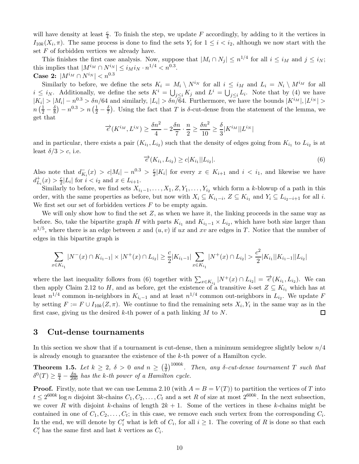will have density at least  $\frac{c}{4}$ . To finish the step, we update F accordingly, by adding to it the vertices in  $I_{10k}(X_i, \pi)$ . The same process is done to find the sets  $Y_i$  for  $1 \leq i \leq i_2$ , although we now start with the set  $F$  of forbidden vertices we already have.

This finishes the first case analysis. Now, suppose that  $|M_i \cap N_j| \leq n^{1/4}$  for all  $i \leq i_M$  and  $j \leq i_N$ ; this implies that  $|M^{i_M} \cap N^{i_N}| \leq i_M i_N \cdot n^{1/4} < n^{0.3}$ . Case 2:  $|M^{i_M} \cap N^{i_N}| < n^{0.3}$ 

Similarly to before, we define the sets  $K_i = M_i \setminus N^{i_N}$  for all  $i \leq i_M$  and  $L_i = N_i \setminus M^{i_M}$  for all  $i \leq i_N$ . Additionally, we define the sets  $K^i = \bigcup_{j \leq i} K_j$  and  $L^i = \bigcup_{j \leq i} L_i$ . Note that by [\(4\)](#page-7-1) we have  $|K_i| > |M_i| - n^{0.3} > \delta n/64$  and similarly,  $|L_i| > \delta n/\delta 4$ . Furthermore, we have the bounds  $|K^{i_M}|, |L^{i_N}| >$  $n\left(\frac{1}{2}-\frac{\delta}{8}\right)$  $\left(\frac{\delta}{8}\right) - n^{0.3} > n \left(\frac{1}{2} - \frac{\delta}{7}\right)$  $\frac{\delta}{7}$ ). Using the fact that T is  $\delta$ -cut-dense from the statement of the lemma, we get that

$$
\overrightarrow{e}(K^{i_M}, L^{i_N}) \ge \frac{\delta n^2}{4} - 2\frac{\delta n}{7} \cdot \frac{n}{2} \ge \frac{\delta n^2}{10} \ge \frac{\delta}{3}|K^{i_M}||L^{i_N}|
$$

and in particular, there exists a pair  $(K_{i_1}, L_{i_2})$  such that the density of edges going from  $K_{i_1}$  to  $L_{i_2}$  is at least  $\delta/3 > c$ , i.e.

<span id="page-9-1"></span>
$$
\overrightarrow{e}(K_{i_1}, L_{i_2}) \ge c|K_{i_1}||L_{i_2}|.
$$
\n(6)

|

Also note that  $d_{K_i}^-(x) > c|M_i| - n^{0.3} > \frac{c}{2}$  $\frac{c}{2}|K_i|$  for every  $x \in K_{i+1}$  and  $i < i_1$ , and likewise we have  $d^+_{L_i}(x) > \frac{c}{2}$  $\frac{c}{2}|L_i|$  for  $i < i_2$  and  $x \in L_{i+1}$ .

Similarly to before, we find sets  $X_{i_1-1}, \ldots, X_1, Z, Y_1, \ldots, Y_{i_2}$  which form a k-blowup of a path in this order, with the same properties as before, but now with  $X_i \subseteq K_{i_1-i}$ ,  $Z \subseteq K_{i_1}$  and  $Y_i \subseteq L_{i_2-i+1}$  for all i. We first set our set of forbidden vertices  $F$  to be empty again.

We will only show how to find the set  $Z$ , as when we have it, the linking proceeds in the same way as before. So, take the bipartite graph H with parts  $K_{i_1}$  and  $K_{i_1-1} \times L_{i_2}$ , which have both size larger than  $n^{1/5}$ , where there is an edge between x and  $(u, v)$  if ux and xv are edges in T. Notice that the number of edges in this bipartite graph is

$$
\sum_{x \in K_{i_1}} |N^-(x) \cap K_{i_1-1}| \times |N^+(x) \cap L_{i_2}| \ge \frac{c}{2} |K_{i_1-1}| \sum_{x \in K_{i_1}} |N^+(x) \cap L_{i_2}| > \frac{c^2}{2} |K_{i_1}| |K_{i_1-1}| |L_{i_2}|
$$

where the last inequality follows from [\(6\)](#page-9-1) together with  $\sum_{x \in K_{i_1}} |N^+(x) \cap L_{i_2}| = \overline{e'}(K_{i_1}, L_{i_2})$ . We can then apply Claim [2.12](#page-8-0) to H, and as before, get the existence of a transitive k-set  $Z \subseteq K_{i_1}$  which has at least  $n^{1/4}$  common in-neighbors in  $K_{i}$ <sub>i-1</sub> and at least  $n^{1/4}$  common out-neighbors in  $L_{i_2}$ . We update F by setting  $F := F \cup I_{10k}(Z, \pi)$ . We continue to find the remaining sets  $X_i, Y_i$  in the same way as in the first case, giving us the desired k-th power of a path linking  $M$  to  $N$ .  $\Box$ 

### <span id="page-9-0"></span>3 Cut-dense tournaments

In this section we show that if a tournament is cut-dense, then a minimum semidegree slightly below  $n/4$ is already enough to guarantee the existence of the k-th power of a Hamilton cycle.

**Theorem 1.5.** Let  $k \geq 2$ ,  $\delta > 0$  and  $n \geq \left(\frac{3}{\delta}\right)$  $\frac{3}{\delta})^{1000k}$ . Then, any  $\delta$ -cut-dense tournament T such that  $\delta^0(T) \geq \frac{n}{4} - \frac{\delta n}{200}$  has the k-th power of a Hamilton cycle.

**Proof.** Firstly, note that we can use Lemma [2.10](#page-6-2) (with  $A = B = V(T)$ ) to partition the vertices of T into  $t \leq 2^{600k} \log n$  disjoint 3k-chains  $C_1, C_2, \ldots, C_t$  and a set R of size at most  $2^{600k}$ . In the next subsection, we cover R with disjoint k-chains of length  $2k + 1$ . Some of the vertices in these k-chains might be contained in one of  $C_1, C_2, \ldots, C_t$ ; in this case, we remove each such vertex from the corresponding  $C_i$ . In the end, we will denote by  $C_i'$  what is left of  $C_i$ , for all  $i \geq 1$ . The covering of R is done so that each  $C_i'$  has the same first and last k vertices as  $C_i$ .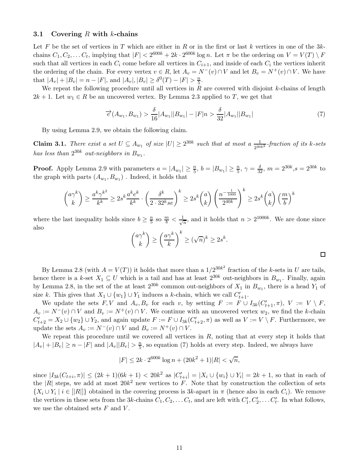#### 3.1 Covering R with k-chains

Let F be the set of vertices in T which are either in R or in the first or last k vertices in one of the  $3k$ chains  $C_1, C_2, \ldots C_t$ , implying that  $|F| < 2^{600k} + 2k \cdot 2^{600k} \log n$ . Let  $\pi$  be the ordering on  $V = V(T) \setminus F$ such that all vertices in each  $C_i$  come before all vertices in  $C_{i+1}$ , and inside of each  $C_i$  the vertices inherit the ordering of the chain. For every vertex  $v \in R$ , let  $A_v = N^-(v) \cap V$  and let  $B_v = N^+(v) \cap V$ . We have that  $|A_v| + |B_v| = n - |F|$ , and  $|A_v|, |B_v| \ge \delta^0(T) - |F| > \frac{n}{5}$  $\frac{n}{5}$ .

We repeat the following procedure until all vertices in  $R$  are covered with disjoint k-chains of length  $2k + 1$ . Let  $w_1 \in R$  be an uncovered vertex. By Lemma [2.3](#page-4-3) applied to T, we get that

<span id="page-10-0"></span>
$$
\overrightarrow{e}(A_{w_1}, B_{w_1}) > \frac{\delta}{16}|A_{w_1}||B_{w_1}| - |F|n > \frac{\delta}{32}|A_{w_1}||B_{w_1}| \tag{7}
$$

By using Lemma [2.9,](#page-5-3) we obtain the following claim.

**Claim 3.1.** There exist a set  $U \subseteq A_{w_1}$  of size  $|U| \geq 2^{30k}$  such that at most a  $\frac{1}{2^{30k^2}}$ -fraction of its k-sets has less than  $2^{30k}$  out-neighbors in  $B_{w_1}$ .

**Proof.** Apply Lemma [2.9](#page-5-3) with parameters  $a = |A_{w_1}| \ge \frac{n}{5}$ ,  $b = |B_{w_1}| \ge \frac{n}{5}$ ,  $\gamma = \frac{\delta}{32}$ ,  $m = 2^{30k}$ ,  $s = 2^{30k}$  to the graph with parts  $(A_{w_1}, B_{w_1})$ . Indeed, it holds that

$$
\binom{a\gamma^k}{k} \ge \frac{a^k \gamma^{k^2}}{k^k} \ge 2s^k \frac{a^k e^k}{k^k} \cdot \left(\frac{\delta^k}{2 \cdot 32^k s e}\right)^k \ge 2s^k \binom{a}{k} \left(\frac{n^{-\frac{1}{1000}}}{2^{40k}}\right)^k \ge 2s^k \binom{a}{k} \left(\frac{m}{b}\right)^k
$$

where the last inequality holds since  $b \geq \frac{n}{5}$  $\frac{n}{5}$  so  $\frac{m}{b} < \frac{1}{\sqrt{2}}$  $\frac{1}{n}$ , and it holds that  $n > 2^{1000k}$ . We are done since also

$$
\binom{a\gamma^k}{k} \ge \left(\frac{a\gamma^k}{k}\right)^k \ge (\sqrt{n})^k \ge 2s^k.
$$

 $\Box$ 

By Lemma [2.8](#page-5-0) (with  $A = V(T)$ ) it holds that more than a  $1/2^{30k^2}$  fraction of the k-sets in U are tails, hence there is a k-set  $X_1 \subseteq U$  which is a tail and has at least  $2^{30k}$  out-neighbors in  $B_{w_1}$ . Finally, again by Lemma [2.8,](#page-5-0) in the set of the at least  $2^{30k}$  common out-neighbors of  $X_1$  in  $B_{w_1}$ , there is a head  $Y_1$  of size k. This gives that  $X_1 \cup \{w_1\} \cup Y_1$  induces a k-chain, which we call  $C'_{t+1}$ .

We update the sets  $F, V$  and  $A_v, B_v$  for each v, by setting  $F := F \cup I_{3k}(C'_{t+1}, \pi), V := V \setminus F$ ,  $A_v := N^-(v) \cap V$  and  $B_v := N^+(v) \cap V$ . We continue with an uncovered vertex  $w_2$ , we find the k-chain  $C'_{t+2} = X_2 \cup \{w_2\} \cup Y_2$ , and again update  $F := F \cup I_{3k}(C'_{t+2}, \pi)$  as well as  $V := V \setminus F$ . Furthermore, we update the sets  $A_v := N^-(v) \cap V$  and  $B_v := N^+(v) \cap V$ .

We repeat this procedure until we covered all vertices in  $R$ , noting that at every step it holds that  $|A_v| + |B_v| \ge n - |F|$  and  $|A_v||B_v| > \frac{n}{5}$  $\frac{n}{5}$ , so equation [\(7\)](#page-10-0) holds at every step. Indeed, we always have

$$
|F| \le 2k \cdot 2^{600k} \log n + (20k^2 + 1)|R| < \sqrt{n},
$$

since  $|I_{3k}(C_{t+i}, \pi)| \leq (2k+1)(6k+1) < 20k^2$  as  $|C'_{t+i}| = |X_i \cup \{w_i\} \cup Y_i| = 2k+1$ , so that in each of the |R| steps, we add at most  $20k^2$  new vertices to F. Note that by construction the collection of sets  $\{X_i \cup Y_i \mid i \in [|R|]\}$  obtained in the covering process is 3k-apart in  $\pi$  (hence also in each  $C_i$ ). We remove the vertices in these sets from the 3k-chains  $C_1, C_2, \ldots C_t$ , and are left with  $C'_1, C'_2, \ldots C'_t$ . In what follows, we use the obtained sets  $F$  and  $V$ .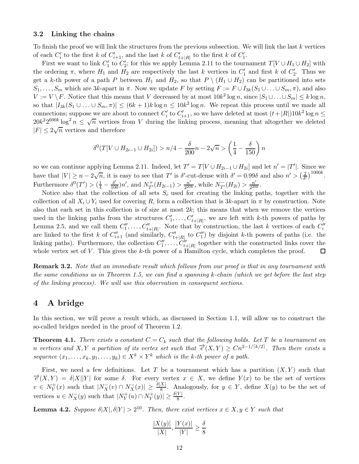#### <span id="page-11-4"></span>3.2 Linking the chains

To finish the proof we will link the structures from the previous subsection. We will link the last k vertices of each  $C'_i$  to the first k of  $C'_{i+1}$ , and the last k of  $C'_{t+|R|}$  to the first k of  $C'_1$ .

First we want to link  $C'_1$  to  $C'_2$ ; for this we apply Lemma [2.11](#page-6-0) to the tournament  $T[V \cup H_1 \cup H_2]$  with the ordering  $\pi$ , where  $H_1$  and  $H_2$  are respectively the last k vertices in  $C'_1$  and first k of  $C'_2$ . Thus we get a k-th power of a path P between  $H_1$  and  $H_2$ , so that  $P \setminus (H_1 \cup H_2)$  can be partitioned into sets  $S_1, \ldots, S_m$  which are 3k-apart in  $\pi$ . Now we update F by setting  $F := F \cup I_{3k}(S_1 \cup \ldots \cup S_m, \pi)$ , and also  $V := V \setminus F$ . Notice that this means that V decreased by at most  $10k^2 \log n$ , since  $|S_1 \cup ... \cup S_m| \le k \log n$ , so that  $|I_{3k}(S_1 \cup ... \cup S_m, \pi)| \leq (6k+1)k \log n \leq 10k^2 \log n$ . We repeat this process until we made all connections; suppose we are about to connect  $C'_i$  to  $C'_{i+1}$ , so we have deleted at most  $(t+|R|)10k^2\log n \le$  $20k^2 2^{600k} \log^2 n \leq \sqrt{n}$  vertices from V during the linking process, meaning that altogether we deleted  $|F| \leq 2\sqrt{n}$  vertices and therefore

$$
\delta^0(T[V \cup H_{2i-1} \cup H_{2i}]) > n/4 - \frac{\delta}{200}n - 2\sqrt{n} > \left(\frac{1}{4} - \frac{\delta}{150}\right)n
$$

so we can continue applying Lemma [2.11.](#page-6-0) Indeed, let  $T' = T[V \cup H_{2i-1} \cup H_{2i}]$  and let  $n' = |T'|$ . Since we have that  $|V| \ge n - 2\sqrt{n}$ , it is easy to see that T' is  $\delta'$ -cut-dense with  $\delta' = 0.99\delta$  and also  $n' > \left(\frac{2}{\delta'}\right)$  $\frac{2}{\delta'}$ <sup>1000k</sup>. Furthermore  $\delta^0(T') > (\frac{1}{4} - \frac{\delta'}{100})n'$ , and  $N_{T'}^+(H_{2i-1}) > \frac{n'}{2^{20}}$  $\frac{n'}{2^{20k}}$ , while  $N_{T'}^-(H_{2i}) > \frac{n'}{2^{20}}$  $\frac{n'}{2^{20k}}$ .

Notice also that the collection of all sets  $S_i$  used for creating the linking paths, together with the collection of all  $X_i \cup Y_i$  used for covering R, form a collection that is 3k-apart in  $\pi$  by construction. Note also that each set in this collection is of size at most  $2k$ ; this means that when we remove the vertices used in the linking paths from the structures  $C'_1, \ldots, C'_{t+|R|}$ , we are left with k-th powers of paths by Lemma [2.5,](#page-4-4) and we call them  $C_1'', \ldots, C_{t+|R|}''$ . Note that by construction, the last k vertices of each  $C_i''$ are linked to the first k of  $C''_{i+1}$  (and similarly,  $C''_{i+|R|}$  to  $C''_1$ ) by disjoint k-th powers of paths (i.e. the linking paths). Furthermore, the collection  $C''_1, \ldots, C''_{t+|R|}$  together with the constructed links cover the whole vertex set of  $V$ . This gives the  $k$ -th power of a Hamilton cycle, which completes the proof.  $\Box$ 

<span id="page-11-3"></span>**Remark 3.2.** Note that an immediate result which follows from our proof is that in any tournament with the same conditions as in Theorem [1.5,](#page-2-0) we can find a spanning k-chain (which we get before the last step of the linking process). We will use this observation in consequent sections.

### <span id="page-11-0"></span>4 A bridge

<span id="page-11-1"></span>In this section, we will prove a result which, as discussed in Section [1.1,](#page-1-3) will allow us to construct the so-called bridges needed in the proof of Theorem [1.2.](#page-1-0)

**Theorem 4.1.** There exists a constant  $C = C_k$  such that the following holds. Let T be a tournament on n vertices and X, Y a partition of its vertex set such that  $\overrightarrow{e}(X,Y) \geq Cn^{2-1/[k/2]}$ . Then there exists a sequence  $(x_1, \ldots, x_k, y_1, \ldots, y_k) \in X^k \times Y^k$  which is the k-th power of a path.

First, we need a few definitions. Let T be a tournament which has a partition  $(X, Y)$  such that  $\vec{e}(X,Y) = \delta |X||Y|$  for some  $\delta$ . For every vertex  $x \in X$ , we define  $Y(x)$  to be the set of vertices  $v \in N_Y^+$  $Y(Y \leq Y \leq Y)$  such that  $|N_X(v) \cap N_X(v)| \geq \frac{\delta |X|}{8}$ . Analogously, for  $y \in Y$ , define  $X(y)$  to be the set of vertices  $u \in N_X^-(y)$  such that  $|N_Y^+(u) \cap N_Y^+(y)| \ge \frac{\delta|Y|}{8}$ .

<span id="page-11-2"></span>**Lemma 4.2.** Suppose  $\delta |X|, \delta |Y| > 2^{10}$ . Then, there exist vertices  $x \in X, y \in Y$  such that

$$
\frac{|X(y)|}{|X|}, \frac{|Y(x)|}{|Y|} \ge \frac{\delta}{8}
$$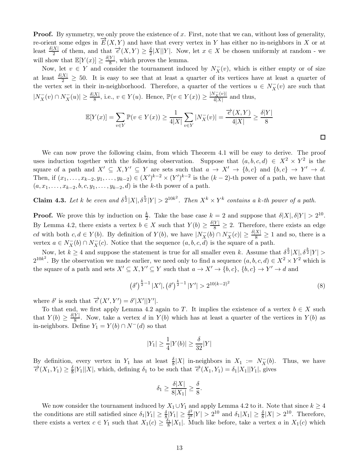**Proof.** By symmetry, we only prove the existence of x. First, note that we can, without loss of generality, re-orient some edges in  $\overline{E}(X, Y)$  and have that every vertex in Y has either no in-neighbors in X or at least  $\frac{\delta|X|}{2}$  of them, and that  $\overrightarrow{e}(X,Y) \geq \frac{\delta}{2}$  $\frac{\partial}{\partial x} |X||Y|$ . Now, let  $x \in X$  be chosen uniformly at random - we will show that  $\mathbb{E}[Y(x)] \ge \frac{\delta|Y|}{8}$ , which proves the lemma.

Now, let  $v \in Y$  and consider the tournament induced by  $N_X^-(v)$ , which is either empty or of size at least  $\frac{\delta |X|}{2} \geq 50$ . It is easy to see that at least a quarter of its vertices have at least a quarter of the vertex set in their in-neighborhood. Therefore, a quarter of the vertices  $u \in N_X^-(v)$  are such that  $|N_X^-(v) \cap N_X^-(u)| \ge \frac{\delta |X|}{8}$ , i.e.,  $v \in Y(u)$ . Hence,  $\mathbb{P}(v \in Y(x)) \ge \frac{|N_X^-(v)|}{4|X|}$  $\frac{\sqrt{X^{(0)}}}{4|X|}$  and thus,

$$
\mathbb{E}[Y(x)] = \sum_{v \in Y} \mathbb{P}(v \in Y(x)) \ge \frac{1}{4|X|} \sum_{v \in Y} |N_X^-(v)| = \frac{\overrightarrow{e}(X, Y)}{4|X|} \ge \frac{\delta|Y|}{8}
$$

We can now prove the following claim, from which Theorem [4.1](#page-11-1) will be easy to derive. The proof uses induction together with the following observation. Suppose that  $(a, b, c, d) \in X^2 \times Y^2$  is the square of a path and  $X' \subseteq X, Y' \subseteq Y$  are sets such that  $a \to X' \to \{b, c\}$  and  $\{b, c\} \to Y' \to d$ . Then, if  $(x_1, ..., x_{k-2}, y_1, ..., y_{k-2}) \in (X')^{k-2} \times (Y')^{k-2}$  is the  $(k-2)$ -th power of a path, we have that  $(a, x_1, \ldots, x_{k-2}, b, c, y_1, \ldots, y_{k-2}, d)$  is the k-th power of a path.

<span id="page-12-1"></span>**Claim 4.3.** Let k be even and  $\delta^{\frac{k}{2}}|X|$ ,  $\delta^{\frac{k}{2}}|Y| > 2^{10k^2}$ . Then  $X^k \times Y^k$  contains a k-th power of a path.

**Proof.** We prove this by induction on  $\frac{k}{2}$ . Take the base case  $k = 2$  and suppose that  $\delta |X|, \delta |Y| > 2^{10}$ . By Lemma [4.2,](#page-11-2) there exists a vertex  $b \in X$  such that  $Y(b) \geq \frac{\delta|Y|}{8} \geq 2$ . Therefore, there exists an edge cd with both  $c, d \in Y(b)$ . By definition of  $Y(b)$ , we have  $|N_X^{-}(b) \cap N_X^{-}(c)| \geq \frac{\delta |X|}{8} \geq 1$  and so, there is a vertex  $a \in N_X^-(b) \cap N_X^-(c)$ . Notice that the sequence  $(a, b, c, d)$  is the square of a path.

Now, let  $k \geq 4$  and suppose the statement is true for all smaller even k. Assume that  $\delta^{\frac{k}{2}}|X|, \delta^{\frac{k}{2}}|Y| >$  $2^{10k^2}$ . By the observation we made earlier, we need only to find a sequence  $(a, b, c, d) \in X^2 \times Y^2$  which is the square of a path and sets  $X' \subseteq X, Y' \subseteq Y$  such that  $a \to X' \to \{b, c\}, \{b, c\} \to Y' \to d$  and

<span id="page-12-0"></span>
$$
\left(\delta'\right)^{\frac{k}{2}-1}|X'|,\left(\delta'\right)^{\frac{k}{2}-1}|Y'|>2^{10(k-2)^2}
$$
\n(8)

 $\Box$ 

where  $\delta'$  is such that  $\overrightarrow{e}(X', Y') = \delta' |X'||Y'|$ .

To that end, we first apply Lemma [4.2](#page-11-2) again to T. It implies the existence of a vertex  $b \in X$  such that  $Y(b) \geq \frac{\delta|Y|}{8}$ . Now, take a vertex d in  $Y(b)$  which has at least a quarter of the vertices in  $Y(b)$  as in-neighbors. Define  $Y_1 = Y(b) \cap N^{-1}(d)$  so that

$$
|Y_1| \ge \frac{1}{4}|Y(b)| \ge \frac{\delta}{32}|Y|
$$

By definition, every vertex in  $Y_1$  has at least  $\frac{\delta}{8}|X|$  in-neighbors in  $X_1 := N_X^-$ Thus, we have  $\overrightarrow{e}(X_1,Y_1)\geq \frac{\delta}{8}$  $\frac{\delta}{8}|Y_1||X|$ , which, defining  $\delta_1$  to be such that  $\overrightarrow{e}(X_1, Y_1) = \delta_1 |X_1||Y_1|$ , gives

$$
\delta_1 \ge \frac{\delta |X|}{8|X_1|} \ge \frac{\delta}{8}.
$$

We now consider the tournament induced by  $X_1 \cup Y_1$  and apply Lemma [4.2](#page-11-2) to it. Note that since  $k \geq 4$ the conditions are still satisfied since  $\delta_1|Y_1| \ge \frac{\delta}{8} |Y_1| \ge \frac{\delta^2}{2^8}$  $\frac{\delta^2}{2^8}|Y| > 2^{10}$  and  $\delta_1|X_1| \ge \frac{\delta}{8}|X| > 2^{10}$ . Therefore, there exists a vertex  $c \in Y_1$  such that  $X_1(c) \geq \frac{\delta_1}{8}$  $\frac{\partial_1}{\partial_8}|X_1|$ . Much like before, take a vertex a in  $X_1(c)$  which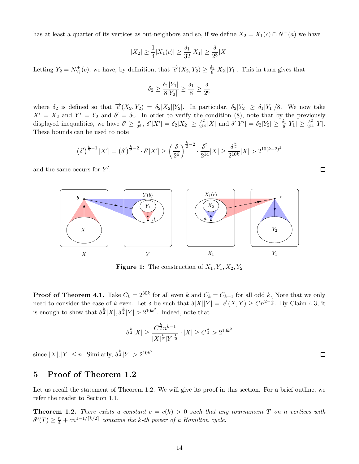has at least a quarter of its vertices as out-neighbors and so, if we define  $X_2 = X_1(c) \cap N^+(a)$  we have

$$
|X_2| \ge \frac{1}{4}|X_1(c)| \ge \frac{\delta_1}{32}|X_1| \ge \frac{\delta}{2^8}|X|
$$

Letting  $Y_2 = N_{Y_1}^+$  $Y_1^+(c)$ , we have, by definition, that  $\overrightarrow{e}(X_2, Y_2) \geq \frac{\delta_1}{8}$  $\frac{b_1}{8}|X_2||Y_1|$ . This in turn gives that

$$
\delta_2 \ge \frac{\delta_1 |Y_1|}{8|Y_2|} \ge \frac{\delta_1}{8} \ge \frac{\delta}{2^6}
$$

where  $\delta_2$  is defined so that  $\vec{e}(X_2, Y_2) = \delta_2 |X_2||Y_2|$ . In particular,  $\delta_2 |Y_2| \geq \delta_1 |Y_1|/8$ . We now take  $X' = X_2$  and  $Y' = Y_2$  and  $\delta' = \delta_2$ . In order to verify the condition [\(8\)](#page-12-0), note that by the previously displayed inequalities, we have  $\delta' \geq \frac{\delta}{2^6}$  $\frac{\delta}{2^6}$ ,  $\delta' |X'| = \delta_2 |X_2| \geq \frac{\delta^2}{2^{14}}$  $\frac{\delta^2}{2^{14}}|X|$  and  $\delta'|Y'| = \delta_2|Y_2| \ge \frac{\delta_1}{8}|Y_1| \ge \frac{\delta^2}{2^{11}}$  $\frac{\delta^2}{2^{11}}|Y|$ . These bounds can be used to note

$$
\left(\delta'\right)^{\frac{k}{2}-1}|X'| = \left(\delta'\right)^{\frac{k}{2}-2} \cdot \delta'|X'| \ge \left(\frac{\delta}{2^6}\right)^{\frac{k}{2}-2} \cdot \frac{\delta^2}{2^{14}}|X| \ge \frac{\delta^{\frac{k}{2}}}{2^{10k}}|X| > 2^{10(k-2)^2}
$$

and the same occurs for  $Y'$ .



**Figure 1:** The construction of  $X_1, Y_1, X_2, Y_2$ 

**Proof of Theorem [4.1.](#page-11-1)** Take  $C_k = 2^{30k}$  for all even k and  $C_k = C_{k+1}$  for all odd k. Note that we only need to consider the case of k even. Let  $\delta$  be such that  $\delta |X||Y| = \overline{e}(X,Y) \ge Cn^{2-\frac{2}{k}}$ . By Claim [4.3,](#page-12-1) it is enough to show that  $\delta^{\frac{k}{2}}|X|, \delta^{\frac{k}{2}}|Y| > 2^{10k^2}$ . Indeed, note that

$$
\delta^{\frac{k}{2}}|X| \ge \frac{C^{\frac{k}{2}}n^{k-1}}{|X|^{\frac{k}{2}}|Y|^{\frac{k}{2}}}\cdot |X| \ge C^{\frac{k}{2}} > 2^{10k^2}
$$

since  $|X|, |Y| \le n$ . Similarly,  $\delta^{\frac{k}{2}}|Y| > 2^{10k^2}$ .

# <span id="page-13-0"></span>5 Proof of Theorem [1.2](#page-1-0)

Let us recall the statement of Theorem [1.2.](#page-1-0) We will give its proof in this section. For a brief outline, we refer the reader to Section [1.1.](#page-1-3)

**Theorem 1.2.** There exists a constant  $c = c(k) > 0$  such that any tournament T on n vertices with  $\delta^0(T) \geq \frac{n}{4} + cn^{1-1/\lceil k/2 \rceil}$  contains the k-th power of a Hamilton cycle.

 $\Box$ 

 $\Box$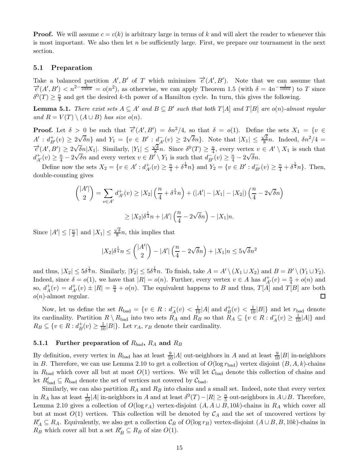**Proof.** We will assume  $c = c(k)$  is arbitrary large in terms of k and will alert the reader to whenever this is most important. We also then let  $n$  be sufficiently large. First, we prepare our tournament in the next section.

### 5.1 Preparation

Take a balanced partition  $A', B'$  of T which minimizes  $\vec{e}(A', B')$ . Note that we can assume that  $\vec{e}(A',B') < n^{2-\frac{1}{1000k}} = o(n^2)$ , as otherwise, we can apply Theorem [1.5](#page-2-0) (with  $\delta = 4n^{-\frac{1}{1000k}}$ ) to T since  $\delta^0(T) \geq \frac{n}{4}$  $\frac{n}{4}$  and get the desired k-th power of a Hamilton cycle. In turn, this gives the following.

**Lemma 5.1.** There exist sets  $A \subseteq A'$  and  $B \subseteq B'$  such that both  $T[A]$  and  $T[B]$  are  $o(n)$ -almost regular and  $R = V(T) \setminus (A \cup B)$  has size o(n).

**Proof.** Let  $\delta > 0$  be such that  $\overrightarrow{e}(A', B') = \delta n^2/4$ , so that  $\delta = o(1)$ . Define the sets  $X_1 = \{v \in$  $A' : d_{B'}^+(v) \geq 2\sqrt{\delta}n$  and  $Y_1 = \{v \in B' : d_{A'}^-(v) \geq 2\sqrt{\delta}n\}$ . Note that  $|X_1| \leq \frac{\sqrt{\delta}}{8}$  $\frac{\sqrt{\delta}}{8}n$ . Indeed,  $\delta n^2/4 =$  $\overrightarrow{e}(A', B') \geq 2\sqrt{\delta n}|X_1|$ . Similarly,  $|Y_1| \leq \frac{\sqrt{\delta}}{8}$  $\frac{\sqrt{\delta}}{8}n$ . Since  $\delta^0(T) \geq \frac{n}{4}$  $\frac{n}{4}$ , every vertex  $v \in A' \setminus X_1$  is such that  $d_{A'}^+(v) \geq \frac{n}{4} - 2\sqrt{\delta}n$  and every vertex  $v \in B' \setminus Y_1$  is such that  $d_{B'}^-(v) \geq \frac{n}{4} - 2\sqrt{\delta}n$ .

Define now the sets  $X_2 = \{v \in A' : d_{A'}^+(v) \geq \frac{n}{4} + \delta^{\frac{1}{4}}n\}$  and  $Y_2 = \{v \in B' : d_{B'}^-(v) \geq \frac{n}{4} + \delta^{\frac{1}{4}}n\}$ . Then, double-counting gives

$$
{|A'|\choose 2} = \sum_{v \in A'} d_{A'}^+(v) \ge |X_2| \left(\frac{n}{4} + \delta^{\frac{1}{4}} n\right) + (|A'| - |X_1| - |X_2|) \left(\frac{n}{4} - 2\sqrt{\delta}n\right)
$$
  
 
$$
\ge |X_2|\delta^{\frac{1}{4}} n + |A'| \left(\frac{n}{4} - 2\sqrt{\delta}n\right) - |X_1|n.
$$

Since  $|A'| \leq \lceil \frac{n}{2} \rceil$  and  $|X_1| \leq \frac{\sqrt{\delta}}{8}$  $\frac{\sqrt{6}}{8}n$ , this implies that

$$
|X_2|\delta^{\frac{1}{4}}n \le {|\mathcal{A}'| \choose 2} - |\mathcal{A}'| \left(\frac{n}{4} - 2\sqrt{\delta}n\right) + |X_1|n \le 5\sqrt{\delta}n^2
$$

and thus,  $|X_2| \le 5\delta^{\frac{1}{4}}n$ . Similarly,  $|Y_2| \le 5\delta^{\frac{1}{4}}n$ . To finish, take  $A = A' \setminus (X_1 \cup X_2)$  and  $B = B' \setminus (Y_1 \cup Y_2)$ . Indeed, since  $\delta = o(1)$ , we have that  $|R| = o(n)$ . Further, every vertex  $v \in A$  has  $d^+_{A'}(v) = \frac{n}{4} + o(n)$  and so,  $d_A^+$  $A^+(v) = d^+_{A'}(v) \pm |R| = \frac{n}{4} + o(n)$ . The equivalent happens to B and thus,  $T[A]$  and  $T[B]$  are both  $o(n)$ -almost regular.  $\Box$ 

Now, let us define the set  $R_{bad} = \{v \in R : d_A^-(v) < \frac{1}{10}|A| \text{ and } d_B^+\}$  $\frac{1}{B}(v) < \frac{1}{10}|B|\}$  and let  $r_{bad}$  denote its cardinality. Partition  $R \setminus R_{bad}$  into two sets  $R_A$  and  $R_B$  so that  $R_A \subseteq \{v \in R : d_A^-(v) \geq \frac{1}{10}|A|\}$  and  $R_B \subseteq \{v \in R : d_B^+$  $_B^+(v) \geq \frac{1}{10}|B|\}.$  Let  $r_A$ ,  $r_B$  denote their cardinality.

### 5.1.1 Further preparation of  $R_{bad}$ ,  $R_A$  and  $R_B$

By definition, every vertex in  $R_{bad}$  has at least  $\frac{9}{10}|A|$  out-neighbors in A and at least  $\frac{9}{10}|B|$  in-neighbors in B. Therefore, we can use Lemma [2.10](#page-6-2) to get a collection of  $O(\log r_{bad})$  vertex disjoint  $(B, A, k)$ -chains in R<sub>bad</sub> which cover all but at most  $O(1)$  vertices. We will let C<sub>bad</sub> denote this collection of chains and let  $R'_{bad} \subseteq R_{bad}$  denote the set of vertices not covered by  $\mathcal{C}_{bad}$ .

Similarly, we can also partition  $R_A$  and  $R_B$  into chains and a small set. Indeed, note that every vertex in  $R_A$  has at least  $\frac{1}{10}|A|$  in-neighbors in A and at least  $\delta^0(T) - |R| \ge \frac{n}{5}$  out-neighbors in  $A \cup B$ . Therefore, Lemma [2.10](#page-6-2) gives a collection of  $O(\log r_A)$  vertex-disjoint  $(A, A \cup B, 10k)$ -chains in  $R_A$  which cover all but at most  $O(1)$  vertices. This collection will be denoted by  $\mathcal{C}_A$  and the set of uncovered vertices by  $R'_A \subseteq R_A$ . Equivalently, we also get a collection  $\mathcal{C}_B$  of  $O(\log r_B)$  vertex-disjoint  $(A \cup B, B, 10k)$ -chains in  $R_B$  which cover all but a set  $R'_B \subseteq R_B$  of size  $O(1)$ .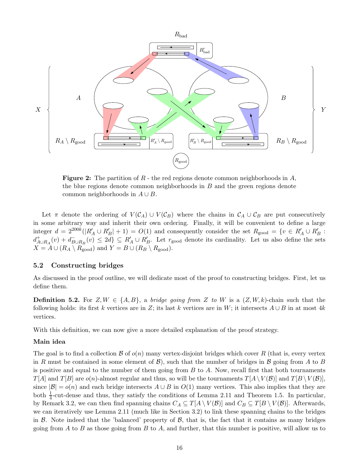<span id="page-15-0"></span>

**Figure 2:** The partition of  $R$  - the red regions denote common neighborhoods in  $A$ , the blue regions denote common neighborhoods in B and the green regions denote common neighborhoods in  $A \cup B$ .

Let  $\pi$  denote the ordering of  $V(C_A) \cup V(C_B)$  where the chains in  $C_A \cup C_B$  are put consecutively in some arbitrary way and inherit their own ordering. Finally, it will be convenient to define a large integer  $d = 2^{200k}(|R'_A \cup R'_B| + 1) = O(1)$  and consequently consider the set  $R_{\text{good}} = \{v \in R'_A \cup R'_B :$  $d_A^+$  $A_{\cup R_A}(v) + d_{\text{B} \cup R_B}(v) \leq 2d \} \subseteq R'_A \cup R'_B$ . Let  $r_{\text{good}}$  denote its cardinality. Let us also define the sets  $X = A \cup (R_A \setminus R_{\text{good}})$  and  $Y = B \cup (R_B \setminus R_{\text{good}})$ .

### 5.2 Constructing bridges

As discussed in the proof outline, we will dedicate most of the proof to constructing bridges. First, let us define them.

**Definition 5.2.** For  $Z, W \in \{A, B\}$ , a *bridge going from* Z to W is a  $(Z, W, k)$ -chain such that the following holds: its first k vertices are in Z; its last k vertices are in W; it intersects  $A \cup B$  in at most 4k vertices.

With this definition, we can now give a more detailed explanation of the proof strategy.

#### Main idea

The goal is to find a collection  $\mathcal B$  of  $o(n)$  many vertex-disjoint bridges which cover R (that is, every vertex in R must be contained in some element of  $\mathcal{B}$ ), such that the number of bridges in B going from A to B is positive and equal to the number of them going from  $B$  to  $A$ . Now, recall first that both tournaments  $T[A]$  and  $T[B]$  are  $o(n)$ -almost regular and thus, so will be the tournaments  $T[A \setminus V(B)]$  and  $T[B \setminus V(B)]$ , since  $|\mathcal{B}| = o(n)$  and each bridge intersects  $A \cup B$  in  $O(1)$  many vertices. This also implies that they are both  $\frac{1}{4}$ -cut-dense and thus, they satisfy the conditions of Lemma [2.11](#page-6-0) and Theorem [1.5.](#page-2-0) In particular, by Remark [3.2,](#page-11-3) we can then find spanning chains  $C_A \subseteq T[A \setminus V(\mathcal{B})]$  and  $C_B \subseteq T[B \setminus V(\mathcal{B})]$ . Afterwards, we can iteratively use Lemma [2.11](#page-6-0) (much like in Section [3.2\)](#page-11-4) to link these spanning chains to the bridges in  $\beta$ . Note indeed that the 'balanced' property of  $\beta$ , that is, the fact that it contains as many bridges going from A to B as those going from B to A, and further, that this number is positive, will allow us to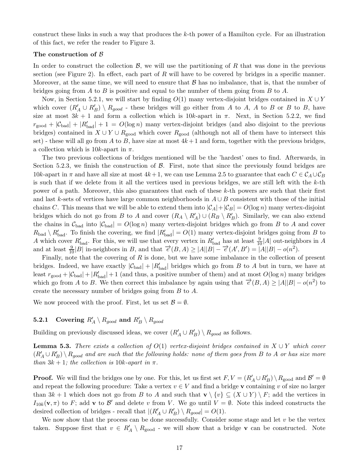construct these links in such a way that produces the k-th power of a Hamilton cycle. For an illustration of this fact, we refer the reader to Figure [3.](#page-20-0)

### The construction of  $\beta$

In order to construct the collection  $\mathcal{B}$ , we will use the partitioning of R that was done in the previous section (see Figure [2\)](#page-15-0). In effect, each part of R will have to be covered by bridges in a specific manner. Moreover, at the same time, we will need to ensure that  $\beta$  has no imbalance, that is, that the number of bridges going from A to B is positive and equal to the number of them going from B to A.

Now, in Section [5.2.1,](#page-16-0) we will start by finding  $O(1)$  many vertex-disjoint bridges contained in  $X \cup Y$ which cover  $(R'_A \cup R'_B) \setminus R_{good}$  - these bridges will go either from A to A, A to B or B to B, have size at most  $3k + 1$  and form a collection which is  $10k$ -apart in  $\pi$ . Next, in Section [5.2.2,](#page-18-0) we find  $r_{\text{good}} + |\mathcal{C}_{\text{bad}}| + |R'_{\text{bad}}| + 1 = O(\log n)$  many vertex-disjoint bridges (and also disjoint to the previous bridges) contained in  $X \cup Y \cup R_{good}$  which cover  $R_{good}$  (although not all of them have to intersect this set) - these will all go from A to B, have size at most  $4k+1$  and form, together with the previous bridges, a collection which is  $10k$ -apart in  $\pi$ .

The two previous collections of bridges mentioned will be the 'hardest' ones to find. Afterwards, in Section [5.2.3,](#page-19-0) we finish the construction of  $\beta$ . First, note that since the previously found bridges are 10k-apart in  $\pi$  and have all size at most  $4k+1$ , we can use Lemma [2.5](#page-4-4) to guarantee that each  $C \in \mathcal{C}_A \cup \mathcal{C}_B$ is such that if we delete from it all the vertices used in previous bridges, we are still left with the  $k$ -th power of a path. Moreover, this also guarantees that each of these  $k$ -th powers are such that their first and last k-sets of vertices have large common neighborhoods in  $A \cup B$  consistent with those of the initial chains C. This means that we will be able to extend them into  $|\mathcal{C}_A| + |\mathcal{C}_B| = O(\log n)$  many vertex-disjoint bridges which do not go from B to A and cover  $(R_A \setminus R'_A) \cup (R_B \setminus R'_B)$ . Similarly, we can also extend the chains in  $\mathcal{C}_{bad}$  into  $|\mathcal{C}_{bad}| = O(\log n)$  many vertex-disjoint bridges which go from B to A and cover  $R_{bad} \setminus R'_{bad}$ . To finish the covering, we find  $|R'_{bad}| = O(1)$  many vertex-disjoint bridges going from B to A which cover  $R'_{bad}$ . For this, we will use that every vertex in  $R'_{bad}$  has at least  $\frac{9}{10}|A|$  out-neighbors in A and at least  $\frac{9}{10}|B|$  in-neighbors in B, and that  $\overrightarrow{e}(B,A) \ge |A||B| - \overrightarrow{e}(A',B') = |A||B| - o(n^2)$ .

Finally, note that the covering of  $R$  is done, but we have some imbalance in the collection of present bridges. Indeed, we have exactly  $|\mathcal{C}_{bad}| + |R'_{bad}|$  bridges which go from B to A but in turn, we have at least  $r_{\text{good}} + |\mathcal{C}_{\text{bad}}| + |R'_{\text{bad}}| + 1$  (and thus, a positive number of them) and at most  $O(\log n)$  many bridges which go from A to B. We then correct this imbalance by again using that  $\vec{e}(B, A) \ge |A||B| - o(n^2)$  to create the necessary number of bridges going from B to A.

We now proceed with the proof. First, let us set  $\mathcal{B} = \emptyset$ .

## <span id="page-16-0"></span> ${\bf 5.2.1}\quad \textbf{Covering}\,\, R'_A \setminus R_{good} \,\, \textbf{and} \,\, R'_B \setminus R_{good}$

Building on previously discussed ideas, we cover  $(R'_A \cup R'_B) \setminus R_{good}$  as follows.

**Lemma 5.3.** There exists a collection of  $O(1)$  vertex-disjoint bridges contained in  $X \cup Y$  which cover  $(R'_A\cup R'_B)\setminus R_{good}$  and are such that the following holds: none of them goes from B to A or has size more than  $3k + 1$ ; the collection is 10k-apart in  $\pi$ .

**Proof.** We will find the bridges one by one. For this, let us first set  $F, V = (R'_A \cup R'_B) \setminus R_{\text{good}}$  and  $\mathcal{B}' = \emptyset$ and repeat the following procedure: Take a vertex  $v \in V$  and find a bridge v containing v of size no larger than  $3k + 1$  which does not go from B to A and such that  $\mathbf{v} \setminus \{v\} \subseteq (X \cup Y) \setminus F$ ; add the vertices in  $I_{10k}(\mathbf{v},\pi)$  to F; add **v** to  $\mathcal{B}'$  and delete v from V. We go until  $V = \emptyset$ . Note this indeed constructs the desired collection of bridges - recall that  $|(R'_A \cup R'_B) \setminus R_{good}| = O(1)$ .

We now show that the process can be done successfully. Consider some stage and let  $v$  be the vertex taken. Suppose first that  $v \in R'_A \setminus R_{\text{good}}$  - we will show that a bridge **v** can be constructed. Note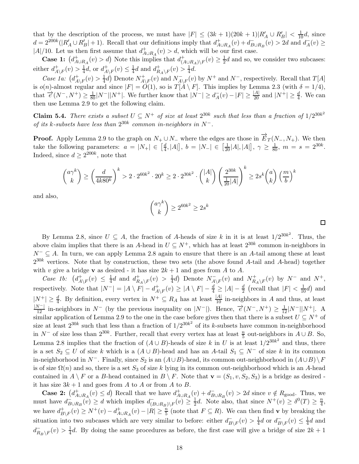that by the description of the process, we must have  $|F| \leq (3k+1)(20k+1)|R'_A \cup R'_B| < \frac{1}{10}d$ , since  $d = 2^{200k}(|R'_A \cup R'_B| + 1)$ . Recall that our definitions imply that  $d_A^+$  $A_{\cup R_A}(v) + d_{B\cup R_B}^-(v) > 2d$  and  $d_A^-(v) \ge$ |A|/10. Let us then first assume that  $d_A^+$  $A_{\cup R_A}(v) > d$ , which will be our first case.

Case 1:  $\left(d_A^+\right)$  $_{A\cup R_A}^+(v) > d$ ) Note this implies that  $d_{(A)}^+$  $_{(A\cup R_A)\setminus F}^+(v)\geq \frac{1}{2}$  $\frac{1}{2}d$  and so, we consider two subcases: either  $d_A^+$  $A\backslash F(v) > \frac{1}{4}$  $\frac{1}{4}d$ , or  $d_A^+$  $A\backslash F(v) \leq \frac{1}{4}$  $\frac{1}{4}d$  and  $d_R^+$  $_{R_A\setminus F}^+(v) > \frac{1}{4}$  $rac{1}{4}d$ .

Case 1a:  $(d_A^+$  $^+_{A\setminus F}(v) > \frac{1}{4}$  $\frac{1}{4}d$ ) Denote  $N^+_{A'}$  $A\_{A,F}(v)$  and  $N_{A\setminus F}^+(v)$  by  $N^+$  and  $N^-$ , respectively. Recall that  $T[A]$ is  $o(n)$ -almost regular and since  $|F| = O(1)$ , so is  $T[A \setminus F]$ . This implies by Lemma [2.3](#page-4-3) (with  $\delta = 1/4$ ), that  $\vec{e}(N^-, N^+) \geq \frac{1}{80}|N^-||N^+|$ . We further know that  $|N^-| \geq d_A^-(v) - |F| \geq \frac{|A|}{20}$  and  $|N^+| \geq \frac{d}{4}$ . We can then use Lemma [2.9](#page-5-3) to get the following claim.

**Claim 5.4.** There exists a subset  $U \subseteq N^+$  of size at least  $2^{30k}$  such that less than a fraction of  $1/2^{30k^2}$ of its k-subsets have less than  $2^{30k}$  common in-neighbors in  $N^-$ .

**Proof.** Apply Lemma [2.9](#page-5-3) to the graph on  $N_+ \cup N_-$  where the edges are those in  $\overrightarrow{E}_T(N_-, N_+)$ . We then take the following parameters:  $a = |N_+| \in \left[\frac{d}{4}\right]$  $\left[\frac{d}{4}, |A|\right], b = |N_{-}| \in \left[\frac{1}{20}|A|, |A|\right], \gamma \ge \frac{1}{80}, m = s = 2^{30k}.$ Indeed, since  $d \geq 2^{200k}$ , note that

$$
\binom{a\gamma^k}{k} \ge \left(\frac{d}{4k80^k}\right)^k > 2 \cdot 2^{60k^2} \cdot 20^k \ge 2 \cdot 2^{30k^2} \cdot \binom{|A|}{k} \left(\frac{2^{30k}}{\frac{1}{20}|A|}\right)^k \ge 2s^k \binom{a}{k} \left(\frac{m}{b}\right)^k
$$

and also,

$$
\binom{a\gamma^k}{k} \ge 2^{60k^2} \ge 2s^k
$$

 $\Box$ 

By Lemma [2.8,](#page-5-0) since  $U \subseteq A$ , the fraction of A-heads of size k in it is at least  $1/2^{30k^2}$ . Thus, the above claim implies that there is an A-head in  $U \subseteq N^+$ , which has at least  $2^{30k}$  common in-neighbors in  $N^{-} \subseteq A$ . In turn, we can apply Lemma [2.8](#page-5-0) again to ensure that there is an A-tail among these at least  $2^{30k}$  vertices. Note that by construction, these two sets (the above found A-tail and A-head) together with v give a bridge **v** as desired - it has size  $2k + 1$  and goes from A to A.

Case 1b:  $(d_A^+$  $A\backslash F(v) \leq \frac{1}{4}$  $\frac{1}{4}d$  and  $d_R^+$  $R_{A\setminus F}(v) > \frac{1}{4}$  $\frac{1}{4}d$ ) Denote  $N_{A\backslash F}^-(v)$  and  $N_{R}^+$  $H^+_{R_A\setminus F}(v)$  by  $N^-$  and  $N^+$ , respectively. Note that  $|N^-| = |A \setminus F| - d_A^+$  $A_{\setminus F}(v) \ge |A \setminus F| - \frac{d}{4} \ge |A| - \frac{d}{2}$  (recall that  $|F| < \frac{1}{10}d$ ) and  $|N^+| \geq \frac{d}{4}$ . By definition, every vertex in  $N^+ \subseteq R_A$  has at least  $\frac{|A|}{10}$  in-neighbors in A and thus, at least  $\frac{|N^{-}|}{12}$  in-neighbors in  $N^{-}$  (by the previous inequality on  $|N^{-}|$ ). Hence,  $\vec{e}(N^{-}, N^{+}) \geq \frac{1}{12}|N^{-}||N^{+}|$ . A similar application of Lemma [2.9](#page-5-3) to the one in the case before gives then that there is a subset  $U \subseteq N^+$  of size at least  $2^{30k}$  such that less than a fraction of  $1/2^{30k^2}$  of its k-subsets have common in-neighborhood in  $N^-$  of size less than  $2^{30k}$ . Further, recall that every vertex has at least  $\frac{n}{5}$  out-neighbors in  $A \cup B$ . So, Lemma [2.8](#page-5-0) implies that the fraction of  $(A \cup B)$ -heads of size k in U is at least  $1/2^{30k^2}$  and thus, there is a set  $S_2 \subseteq U$  of size k which is a  $(A \cup B)$ -head and has an A-tail  $S_1 \subseteq N^-$  of size k in its common in-neighborhood in  $N^-$ . Finally, since  $S_2$  is an  $(A\cup B)$ -head, its common out-neighborhood in  $(A\cup B)\setminus F$ is of size  $\Omega(n)$  and so, there is a set  $S_3$  of size k lying in its common out-neighborhood which is an A-head contained in  $A \setminus F$  or a B-head contained in  $B \setminus F$ . Note that  $\mathbf{v} = (S_1, v, S_2, S_3)$  is a bridge as desired it has size  $3k + 1$  and goes from A to A or from A to B.

Case 2:  $\left(d_A^+\right)$  $A \cup R_A(v) \leq d$  Recall that we have  $d_A^+$  $A_{\cup R_A}(v) + d_{B\cup R_B}(v) > 2d$  since  $v \notin R_{\text{good}}$ . Thus, we must have  $d_{B\cup R_B}^-(v) \geq d$  which implies  $d_{(B\cup R_B)\setminus F}^-(v) \geq \frac{1}{2}$  $\frac{1}{2}d$ . Note also, that since  $N^+(v) \geq \delta^0(T) \geq \frac{n}{4}$  $\frac{n}{4}$ , we have  $d_B^+$  $_{B\setminus F}^{+}(v) \geq N^{+}(v) - d_{A}^{+}$  $_{A\cup R_A}(v) - |R| \geq \frac{n}{5}$  (note that  $F \subseteq R$ ). We can then find **v** by breaking the situation into two subcases which are very similar to before: either  $d_{B\setminus F}^-(v) > \frac{1}{4}$  $\frac{1}{4}d$  or  $d_{B\setminus F}^-(v) \leq \frac{1}{4}$  $\frac{1}{4}d$  and  $d^-_{R_B\setminus F}(v) > \frac{1}{4}$  $\frac{1}{4}d$ . By doing the same procedures as before, the first case will give a bridge of size  $2k+1$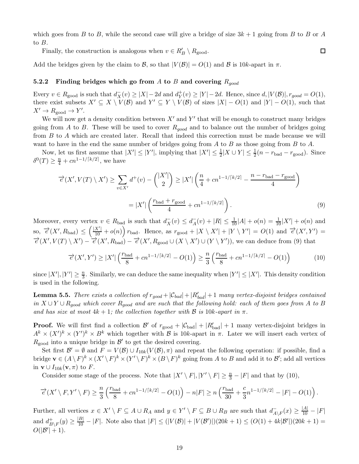which goes from B to B, while the second case will give a bridge of size  $3k + 1$  going from B to B or A to B.

 $\Box$ 

Finally, the construction is analogous when  $v \in R'_B \setminus R_{\text{good}}$ .

<span id="page-18-0"></span>Add the bridges given by the claim to B, so that  $|V(B)| = O(1)$  and B is 10k-apart in  $\pi$ .

#### 5.2.2 Finding bridges which go from A to B and covering  $R_{good}$

Every  $v \in R_{\text{good}}$  is such that  $d_X^-(v) \ge |X| - 2d$  and  $d_Y^+$  $Y(Y(Y) \geq |Y| - 2d$ . Hence, since  $d, |V(\mathcal{B})|, r_{good} = O(1),$ there exist subsets  $X' \subseteq X \setminus V(\mathcal{B})$  and  $Y' \subseteq Y \setminus V(\mathcal{B})$  of sizes  $|X| - O(1)$  and  $|Y| - O(1)$ , such that  $X' \to R_{\text{good}} \to Y'.$ 

We will now get a density condition between  $X'$  and  $Y'$  that will be enough to construct many bridges going from A to B. These will be used to cover  $R_{good}$  and to balance out the number of bridges going from B to A which are created later. Recall that indeed this correction must be made because we will want to have in the end the same number of bridges going from  $A$  to  $B$  as those going from  $B$  to  $A$ .

Now, let us first assume that  $|X'| \leq |Y'|$ , implying that  $|X'| \leq \frac{1}{2}|X \cup Y| \leq \frac{1}{2}(n - r_{bad} - r_{good})$ . Since  $\delta^{0}(T) \geq \frac{n}{4} + cn^{1-1/[k/2]},$  we have

<span id="page-18-1"></span>
$$
\overrightarrow{e}(X', V(T) \setminus X') \ge \sum_{v \in X'} d^+(v) - \binom{|X'|}{2} \ge |X'| \left(\frac{n}{4} + cn^{1-1/[k/2]} - \frac{n - r_{\text{bad}} - r_{\text{good}}}{4}\right)
$$

$$
= |X'| \left(\frac{r_{\text{bad}} + r_{\text{good}}}{4} + cn^{1-1/[k/2]}\right).
$$
(9)

Moreover, every vertex  $v \in R_{bad}$  is such that  $d_X^-(v) \leq d_A^-(v) + |R| \leq \frac{1}{10}|A| + o(n) = \frac{1}{10}|X'| + o(n)$  and  $\text{so, } \vec{\epsilon}(X', R_{\text{bad}}) \leq (\frac{|X'|}{10} + o(n)) r_{\text{bad}}.$  Hence, as  $r_{\text{good}} + |X \setminus X'| + |Y \setminus Y'| = O(1)$  and  $\vec{\epsilon}(X', Y') =$  $\overrightarrow{e}(X', V(T) \setminus X') - \overrightarrow{e}(X', R_{bad}) - \overrightarrow{e}(X', R_{good} \cup (X \setminus X') \cup (Y \setminus Y'))$ , we can deduce from [\(9\)](#page-18-1) that

<span id="page-18-2"></span>
$$
\overrightarrow{e}(X',Y') \ge |X'| \left(\frac{r_{\text{bad}}}{8} + cn^{1-1/[k/2]} - O(1)\right) \ge \frac{n}{3} \left(\frac{r_{\text{bad}}}{8} + cn^{1-1/[k/2]} - O(1)\right) \tag{10}
$$

<span id="page-18-3"></span>since  $|X'|, |Y'| \geq \frac{n}{3}$ . Similarly, we can deduce the same inequality when  $|Y'| \leq |X'|$ . This density condition is used in the following.

**Lemma 5.5.** There exists a collection of  $r_{good} + |C_{bad}| + |R'_{bad}| + 1$  many vertex-disjoint bridges contained in  $X \cup Y \cup R_{qood}$  which cover  $R_{qood}$  and are such that the following hold: each of them goes from A to B and has size at most  $4k + 1$ ; the collection together with B is  $10k$ -apart in  $\pi$ .

**Proof.** We will first find a collection  $\mathcal{B}'$  of  $r_{\text{good}} + |\mathcal{C}_{\text{bad}}| + |R'_{\text{bad}}| + 1$  many vertex-disjoint bridges in  $A^k \times (X')^k \times (Y')^k \times B^k$  which together with  $\mathcal B$  is 10k-apart in  $\pi$ . Later we will insert each vertex of  $R_{\text{good}}$  into a unique bridge in  $\mathcal{B}'$  to get the desired covering.

Set first  $\mathcal{B}' = \emptyset$  and  $F = V(\mathcal{B}) \cup I_{10k}(V(\mathcal{B}), \pi)$  and repeat the following operation: if possible, find a bridge  $\mathbf{v} \in (A \setminus F)^k \times (X' \setminus F)^k \times (Y' \setminus F)^k \times (B \setminus F)^k$  going from A to B and add it to  $\mathcal{B}'$ ; add all vertices in  $\mathbf{v} \cup I_{10k}(\mathbf{v}, \pi)$  to F.

Consider some stage of the process. Note that  $|X' \setminus F|, |Y' \setminus F| \geq \frac{n}{3} - |F|$  and that by [\(10\)](#page-18-2),

$$
\overrightarrow{e}(X' \setminus F, Y' \setminus F) \ge \frac{n}{3} \left( \frac{r_{\text{bad}}}{8} + cn^{1-1/\lceil k/2 \rceil} - O(1) \right) - n|F| \ge n \left( \frac{r_{\text{bad}}}{30} + \frac{c}{3} n^{1-1/\lceil k/2 \rceil} - |F| - O(1) \right).
$$

Further, all vertices  $x \in X' \setminus F \subseteq A \cup R_A$  and  $y \in Y' \setminus F \subseteq B \cup R_B$  are such that  $d_{A \setminus F}^-(x) \ge \frac{|A|}{10} - |F|$ and  $d_B^+$  $B\big|_{B\setminus F}(y) \geq \frac{|B|}{10} - |F|$ . Note also that  $|F| \leq (|V(\mathcal{B})| + |V(\mathcal{B'})|)(20k + 1) \leq (O(1) + 4k|\mathcal{B'}|)(20k + 1) =$  $O(|\mathcal{B}'|+1).$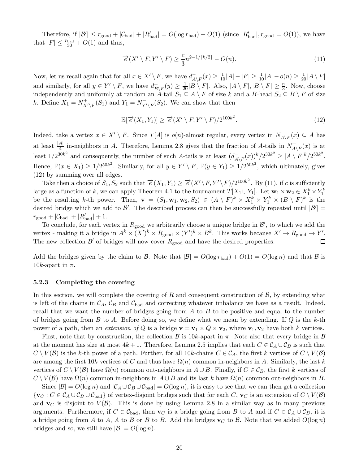Therefore, if  $|\mathcal{B}'| \leq r_{\text{good}} + |\mathcal{C}_{\text{bad}}| + |R'_{\text{bad}}| = O(\log r_{\text{bad}}) + O(1)$  (since  $|R'_{\text{bad}}|, r_{\text{good}} = O(1)$ ), we have that  $|F| \leq \frac{r_{\text{bad}}}{30} + O(1)$  and thus,

<span id="page-19-2"></span>
$$
\overrightarrow{e}(X' \setminus F, Y' \setminus F) \ge \frac{c}{3} n^{2-1/\lceil k/2 \rceil} - O(n). \tag{11}
$$

Now, let us recall again that for all  $x \in X' \setminus F$ , we have  $d_{A \setminus F}^-(x) \ge \frac{1}{10}|A| - |F| \ge \frac{1}{10}|A| - o(n) \ge \frac{1}{20}|A \setminus F|$ and similarly, for all  $y \in Y' \setminus F$ , we have  $d_B^+$  $B\}_{F}(y) \geq \frac{1}{20} |B \setminus F|$ . Also,  $|A \setminus F|, |B \setminus F| \geq \frac{n}{3}$ . Now, choose independently and uniformly at random an A-tail  $S_1 \subseteq A \setminus F$  of size k and a B-head  $S_2 \subseteq B \setminus F$  of size k. Define  $X_1 = N^+_{X' \setminus F}(S_1)$  and  $Y_1 = N^-_{Y' \setminus F}(S_2)$ . We can show that then

<span id="page-19-1"></span>
$$
\mathbb{E}[\overrightarrow{e}(X_1, Y_1)] \ge \overrightarrow{e}(X' \setminus F, Y' \setminus F)/2^{100k^2}.
$$
\n(12)

Indeed, take a vertex  $x \in X' \setminus F$ . Since  $T[A]$  is  $o(n)$ -almost regular, every vertex in  $N_{A \setminus F}^-(x) \subseteq A$  has at least  $\frac{|A|}{4}$  in-neighbors in A. Therefore, Lemma [2.8](#page-5-0) gives that the fraction of A-tails in  $N_{A\setminus F}^-(x)$  is at least  $1/2^{30k^2}$  and consequently, the number of such A-tails is at least  $(d^-_{A\setminus F}(x))^k/2^{30k^2} \geq |A\setminus F|^k/2^{50k^2}$ . Hence,  $\mathbb{P}(x \in X_1) \ge 1/2^{50k^2}$ . Similarly, for all  $y \in Y' \setminus F$ ,  $\mathbb{P}(y \in Y_1) \ge 1/2^{50k^2}$ , which ultimately, gives [\(12\)](#page-19-1) by summing over all edges.

Take then a choice of  $S_1, S_2$  such that  $\overrightarrow{e}(X_1, Y_1) \geq \overrightarrow{e}(X' \setminus F, Y' \setminus F)/2^{100k^2}$ . By [\(11\)](#page-19-2), if c is sufficiently large as a function of k, we can apply Theorem [4.1](#page-11-1) to the tournament  $T[X_1 \cup Y_1]$ . Let  $\mathbf{w}_1 \times \mathbf{w}_2 \in X_1^k \times Y_1^k$ be the resulting k-th power. Then,  $\mathbf{v} = (S_1, \mathbf{w}_1, \mathbf{w}_2, S_2) \in (A \setminus F)^k \times X_1^k \times Y_1^k \times (B \setminus F)^k$  is the desired bridge which we add to  $\mathcal{B}'$ . The described process can then be successfully repeated until  $|\mathcal{B}'|$  =  $r_{\text{good}} + |\mathcal{C}_{\text{bad}}| + |R'_{\text{bad}}| + 1.$ 

To conclude, for each vertex in  $R_{\text{good}}$  we arbitrarily choose a unique bridge in  $\mathcal{B}'$ , to which we add the vertex - making it a bridge in  $A^k \times (X')^k \times R_{\text{good}} \times (Y')^k \times B^k$ . This works because  $X' \to R_{\text{good}} \to Y'$ . The new collection  $\mathcal{B}'$  of bridges will now cover  $R_{\text{good}}$  and have the desired properties. П

Add the bridges given by the claim to B. Note that  $|\mathcal{B}| = O(\log r_{bad}) + O(1) = O(\log n)$  and that B is 10k-apart in  $\pi$ .

### <span id="page-19-0"></span>5.2.3 Completing the covering

In this section, we will complete the covering of R and consequent construction of  $\mathcal{B}$ , by extending what is left of the chains in  $\mathcal{C}_A$ ,  $\mathcal{C}_B$  and  $\mathcal{C}_{bad}$  and correcting whatever imbalance we have as a result. Indeed, recall that we want the number of bridges going from  $A$  to  $B$  to be positive and equal to the number of bridges going from B to A. Before doing so, we define what we mean by extending. If  $Q$  is the k-th power of a path, then an *extension of Q* is a bridge  $\mathbf{v} = \mathbf{v}_1 \times Q \times \mathbf{v}_2$ , where  $\mathbf{v}_1, \mathbf{v}_2$  have both k vertices.

First, note that by construction, the collection  $\beta$  is 10k-apart in  $\pi$ . Note also that every bridge in  $\beta$ at the moment has size at most  $4k+1$ . Therefore, Lemma [2.5](#page-4-4) implies that each  $C \in C_A \cup C_B$  is such that  $C \setminus V(\mathcal{B})$  is the k-th power of a path. Further, for all 10k-chains  $C \in C_A$ , the first k vertices of  $C \setminus V(\mathcal{B})$ are among the first 10k vertices of C and thus have  $\Omega(n)$  common in-neighbors in A. Similarly, the last k vertices of  $C \setminus V(\mathcal{B})$  have  $\Omega(n)$  common out-neighbors in  $A \cup B$ . Finally, if  $C \in \mathcal{C}_B$ , the first k vertices of  $C \setminus V(\mathcal{B})$  have  $\Omega(n)$  common in-neighbors in  $A \cup B$  and its last k have  $\Omega(n)$  common out-neighbors in B.

Since  $|\mathcal{B}| = O(\log n)$  and  $|\mathcal{C}_A \cup \mathcal{C}_B \cup \mathcal{C}_{bad}| = O(\log n)$ , it is easy to see that we can then get a collection  ${\{v_C : C \in \mathcal{C}_A \cup \mathcal{C}_B \cup \mathcal{C}_{bad}\}}$  of vertex-disjoint bridges such that for each C,  $v_C$  is an extension of  $C \setminus V(\mathcal{B})$ and  $\mathbf{v}_C$  is disjoint to  $V(\mathcal{B})$ . This is done by using Lemma [2.8](#page-5-0) in a similar way as in many previous arguments. Furthermore, if  $C \in \mathcal{C}_{bad}$ , then  $\mathbf{v}_C$  is a bridge going from B to A and if  $C \in \mathcal{C}_A \cup \mathcal{C}_B$ , it is a bridge going from A to A, A to B or B to B. Add the bridges  $\mathbf{v}_C$  to B. Note that we added  $O(\log n)$ bridges and so, we still have  $|\mathcal{B}| = O(\log n)$ .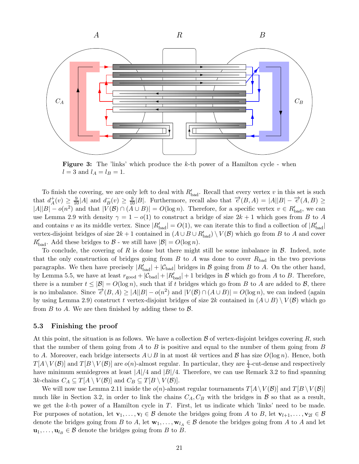<span id="page-20-0"></span>

**Figure 3:** The 'links' which produce the  $k$ -th power of a Hamilton cycle - when  $l = 3$  and  $l_A = l_B = 1$ .

To finish the covering, we are only left to deal with  $R'_{bad}$ . Recall that every vertex v in this set is such that  $d_A^+$  $A^+(v) \geq \frac{9}{10} |A|$  and  $d^-_B(v) \geq \frac{9}{10} |B|$ . Furthermore, recall also that  $\vec{e}(B, A) = |A||B| - \vec{e}(A, B) \geq$  $|A||B| - o(n^2)$  and that  $|V(B) \cap (A \cup B)| = O(\log n)$ . Therefore, for a specific vertex  $v \in R'_{bad}$ , we can use Lemma [2.9](#page-5-3) with density  $\gamma = 1 - o(1)$  to construct a bridge of size  $2k + 1$  which goes from B to A and contains v as its middle vertex. Since  $|R'_{bad}| = O(1)$ , we can iterate this to find a collection of  $|R'_{bad}|$ vertex-disjoint bridges of size  $2k+1$  contained in  $(A\cup B\cup R'_{bad})\setminus V(\mathcal{B})$  which go from  $B$  to  $A$  and cover  $R'_{bad}$ . Add these bridges to  $B$  - we still have  $|B| = O(\log n)$ .

To conclude, the covering of  $R$  is done but there might still be some imbalance in  $\mathcal{B}$ . Indeed, note that the only construction of bridges going from  $B$  to  $A$  was done to cover  $R_{bad}$  in the two previous paragraphs. We then have precisely  $|R'_{bad}| + |\mathcal{C}_{bad}|$  bridges in  $\mathcal B$  going from  $B$  to  $A$ . On the other hand, by Lemma [5.5,](#page-18-3) we have at least  $r_{\text{good}} + |\mathcal{C}_{\text{bad}}| + |R'_{\text{bad}}| + 1$  bridges in  $\mathcal B$  which go from  $A$  to  $B$ . Therefore, there is a number  $t \leq |\mathcal{B}| = O(\log n)$ , such that if t bridges which go from B to A are added to B, there is no imbalance. Since  $\overrightarrow{e}(B, A) \ge |A||B| - o(n^2)$  and  $|V(B) \cap (A \cup B)| = O(\log n)$ , we can indeed (again by using Lemma [2.9\)](#page-5-3) construct t vertex-disjoint bridges of size 2k contained in  $(A \cup B) \setminus V(B)$  which go from  $B$  to  $A$ . We are then finished by adding these to  $B$ .

### 5.3 Finishing the proof

At this point, the situation is as follows. We have a collection  $\beta$  of vertex-disjoint bridges covering  $R$ , such that the number of them going from  $A$  to  $B$  is positive and equal to the number of them going from  $B$ to A. Moreover, each bridge intersects  $A \cup B$  in at most 4k vertices and B has size  $O(\log n)$ . Hence, both  $T[A \setminus V(\mathcal{B})]$  and  $T[B \setminus V(\mathcal{B})]$  are  $o(n)$ -almost regular. In particular, they are  $\frac{1}{4}$ -cut-dense and respectively have minimum semidegrees at least  $|A|/4$  and  $|B|/4$ . Therefore, we can use Remark [3.2](#page-11-3) to find spanning 3k-chains  $C_A \subseteq T[A \setminus V(\mathcal{B})]$  and  $C_B \subseteq T[B \setminus V(\mathcal{B})]$ .

We will now use Lemma [2.11](#page-6-0) inside the  $o(n)$ -almost regular tournaments  $T[A\setminus V(\mathcal{B})]$  and  $T[B\setminus V(\mathcal{B})]$ much like in Section [3.2,](#page-11-4) in order to link the chains  $C_A, C_B$  with the bridges in B so that as a result, we get the  $k$ -th power of a Hamilton cycle in  $T$ . First, let us indicate which 'links' need to be made. For purposes of notation, let  $\mathbf{v}_1, \ldots, \mathbf{v}_l \in \mathcal{B}$  denote the bridges going from A to B, let  $\mathbf{v}_{l+1}, \ldots, \mathbf{v}_{2l} \in \mathcal{B}$ denote the bridges going from B to A, let  $\mathbf{w}_1, \ldots, \mathbf{w}_{l_A} \in \mathcal{B}$  denote the bridges going from A to A and let  $\mathbf{u}_1, \ldots, \mathbf{u}_{l_B} \in \mathcal{B}$  denote the bridges going from B to B.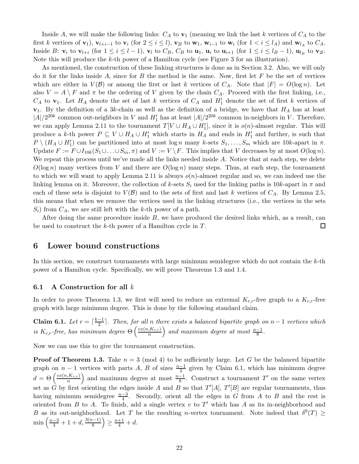Inside A, we will make the following links:  $C_A$  to  $v_1$  (meaning we link the last k vertices of  $C_A$  to the first k vertices of  $\mathbf{v}_1$ ,  $\mathbf{v}_{l+i-1}$  to  $\mathbf{v}_i$  (for  $2 \le i \le l$ ),  $\mathbf{v}_{2l}$  to  $\mathbf{w}_1$ ,  $\mathbf{w}_{i-1}$  to  $\mathbf{w}_i$  (for  $1 < i \le l_A$ ) and  $\mathbf{w}_{l_A}$  to  $C_A$ . Inside B:  $\mathbf{v}_i$  to  $\mathbf{v}_{l+i}$  (for  $1 \leq i \leq l-1$ ),  $\mathbf{v}_l$  to  $C_B$ ,  $C_B$  to  $\mathbf{u}_1$ ,  $\mathbf{u}_i$  to  $\mathbf{u}_{i+1}$  (for  $1 \leq i \leq l_B-1$ ),  $\mathbf{u}_{l_B}$  to  $\mathbf{v}_{2l}$ . Note this will produce the k-th power of a Hamilton cycle (see Figure [3](#page-20-0) for an illustration).

As mentioned, the construction of these linking structures is done as in Section [3.2.](#page-11-4) Also, we will only do it for the links inside  $A$ , since for  $B$  the method is the same. Now, first let  $F$  be the set of vertices which are either in  $V(\mathcal{B})$  or among the first or last k vertices of  $C_A$ . Note that  $|F| = O(\log n)$ . Let also  $V = A \setminus F$  and  $\pi$  be the ordering of V given by the chain  $C_A$ . Proceed with the first linking, i.e.,  $C_A$  to  $\mathbf{v}_1$ . Let  $H_A$  denote the set of last k vertices of  $C_A$  and  $H'_1$  denote the set of first k vertices of  $v_1$ . By the definition of a 3k-chain as well as the definition of a bridge, we have that  $H_A$  has at least  $|A|/2^{20k}$  common out-neighbors in V and  $H'_1$  has at least  $|A|/2^{20k}$  common in-neighbors in V. Therefore, we can apply Lemma [2.11](#page-6-0) to the tournament  $T[V \cup H_A \cup H_1']$ , since it is  $o(n)$ -almost regular. This will produce a k-th power  $P \subseteq V \cup H_A \cup H'_1$  which starts in  $H_A$  and ends in  $H'_1$  and further, is such that  $P \setminus (H_A \cup H'_1)$  can be partitioned into at most  $\log n$  many k-sets  $S_1, \ldots, S_m$  which are 10k-apart in  $\pi$ . Update  $F := F \cup I_{10k}(S_1 \cup \ldots \cup S_m, \pi)$  and  $V := V \backslash F$ . This implies that V decreases by at most  $O(\log n)$ . We repeat this process until we've made all the links needed inside A. Notice that at each step, we delete  $O(\log n)$  many vertices from V and there are  $O(\log n)$  many steps. Thus, at each step, the tournament to which we will want to apply Lemma [2.11](#page-6-0) is always  $o(n)$ -almost regular and so, we can indeed use the linking lemma on it. Moreover, the collection of k-sets  $S_i$  used for the linking paths is 10k-apart in  $\pi$  and each of these sets is disjoint to  $V(\mathcal{B})$  and to the sets of first and last k vertices of  $C_A$ . By Lemma [2.5,](#page-4-4) this means that when we remove the vertices used in the linking structures (i.e., the vertices in the sets  $S_i$ ) from  $C_A$ , we are still left with the k-th power of a path.

After doing the same procedure inside  $B$ , we have produced the desired links which, as a result, can be used to construct the k-th power of a Hamilton cycle in T. 口

### <span id="page-21-0"></span>6 Lower bound constructions

In this section, we construct tournaments with large minimum semidegree which do not contain the  $k$ -th power of a Hamilton cycle. Specifically, we will prove Theorems [1.3](#page-1-1) and [1.4.](#page-1-2)

#### 6.1 A Construction for all  $k$

<span id="page-21-1"></span>In order to prove Theorem [1.3,](#page-1-1) we first will need to reduce an extremal  $K_{r,r}$ -free graph to a  $K_{r,r}$ -free graph with large minimum degree. This is done by the following standard claim.

**Claim 6.1.** Let  $r = \lceil \frac{k-1}{2} \rceil$ . Then, for all n there exists a balanced bipartite graph on  $n-1$  vertices which is  $K_{r,r}$ -free, has minimum degree  $\Theta\left(\frac{ex(n,K_{r,r})}{n}\right)$  $\left(\frac{K_{r,r}}{n}\right)$  and maximum degree at most  $\frac{n-1}{8}$ .

Now we can use this to give the tournament construction.

**Proof of Theorem [1.3.](#page-1-1)** Take  $n = 3 \pmod{4}$  to be sufficiently large. Let G be the balanced bipartite graph on  $n-1$  vertices with parts A, B of sizes  $\frac{n-1}{2}$  given by Claim [6.1,](#page-21-1) which has minimum degree  $d = \Theta\left(\frac{ex(n,K_{r,r})}{n}\right)$  $\left(\frac{K_{r,r}}{n}\right)$  and maximum degree at most  $\frac{n-1}{8}$ . Construct a tournament T' on the same vertex set as G by first orienting the edges inside A and B so that  $T'[A], T'[B]$  are regular tournaments, thus having minimum semidegree  $\frac{n-3}{4}$ . Secondly, orient all the edges in G from A to B and the rest is oriented from B to A. To finish, add a single vertex  $v$  to  $T'$  which has A as its in-neighborhood and B as its out-neighborhood. Let T be the resulting n-vertex tournament. Note indeed that  $\delta^0(T) \ge$  $\min\left(\frac{n-3}{4}+1+d,\frac{3(n-1)}{8}\right)\geq \frac{n+1}{4}+d.$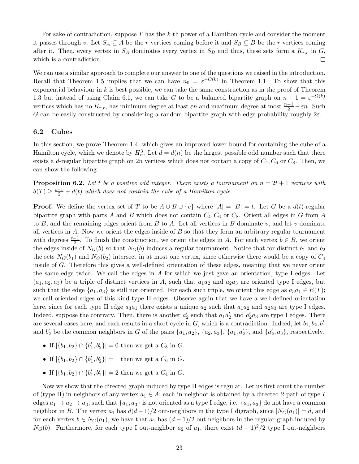For sake of contradiction, suppose  $T$  has the k-th power of a Hamilton cycle and consider the moment it passes through v. Let  $S_A \subseteq A$  be the r vertices coming before it and  $S_B \subseteq B$  be the r vertices coming after it. Then, every vertex in  $S_A$  dominates every vertex in  $S_B$  and thus, these sets form a  $K_{r,r}$  in  $G$ , which is a contradiction.  $\Box$ 

We can use a similar approach to complete our answer to one of the questions we raised in the introduction. Recall that Theorem [1.5](#page-2-0) implies that we can have  $n_0 = \varepsilon^{-O(k)}$  in Theorem [1.1.](#page-0-0) To show that this exponential behaviour in  $k$  is best possible, we can take the same construction as in the proof of Theorem [1.3](#page-1-1) but instead of using Claim [6.1,](#page-21-1) we can take G to be a balanced bipartite graph on  $n-1 = \varepsilon^{-\Omega(k)}$ vertices which has no  $K_{r,r}$ , has minimum degree at least  $\varepsilon n$  and maximum degree at most  $\frac{n-1}{2} - \varepsilon n$ . Such G can be easily constructed by considering a random bipartite graph with edge probability roughly  $2\varepsilon$ .

### 6.2 Cubes

In this section, we prove Theorem [1.4,](#page-1-2) which gives an improved lower bound for containing the cube of a Hamilton cycle, which we denote by  $H_n^3$ . Let  $d = d(n)$  be the largest possible odd number such that there exists a d-regular bipartite graph on 2n vertices which does not contain a copy of  $C_4$ ,  $C_6$  or  $C_8$ . Then, we can show the following.

<span id="page-22-0"></span>**Proposition 6.2.** Let t be a positive odd integer. There exists a tournament on  $n = 2t + 1$  vertices with  $\delta(T) \geq \frac{t-1}{2} + d(t)$  which does not contain the cube of a Hamilton cycle.

**Proof.** We define the vertex set of T to be  $A \cup B \cup \{v\}$  where  $|A| = |B| = t$ . Let G be a  $d(t)$ -regular bipartite graph with parts A and B which does not contain  $C_4$ ,  $C_6$  or  $C_8$ . Orient all edges in G from A to B, and the remaining edges orient from B to A. Let all vertices in B dominate v, and let v dominate all vertices in  $A$ . Now we orient the edges inside of  $B$  so that they form an arbitrary regular tournament with degrees  $\frac{t-1}{2}$ . To finish the construction, we orient the edges in A. For each vertex  $b \in B$ , we orient the edges inside of  $N_G(b)$  so that  $N_G(b)$  induces a regular tournament. Notice that for distinct  $b_1$  and  $b_2$ the sets  $N_G(b_1)$  and  $N_G(b_2)$  intersect in at most one vertex, since otherwise there would be a copy of  $C_4$ inside of G. Therefore this gives a well-defined orientation of these edges, meaning that we never orient the same edge twice. We call the edges in  $A$  for which we just gave an orientation, type I edges. Let  $(a_1, a_2, a_3)$  be a triple of distinct vertices in A, such that  $a_1a_2$  and  $a_2a_3$  are oriented type I edges, but such that the edge  $\{a_1, a_3\}$  is still not oriented. For each such triple, we orient this edge as  $a_3a_1 \in E(T)$ ; we call oriented edges of this kind type II edges. Observe again that we have a well-defined orientation here, since for each type II edge  $a_3a_1$  there exists a unique  $a_2$  such that  $a_1a_2$  and  $a_2a_3$  are type I edges. Indeed, suppose the contrary. Then, there is another  $a'_2$  such that  $a_1a'_2$  and  $a'_2a_3$  are type I edges. There are several cases here, and each results in a short cycle in  $G$ , which is a contradiction. Indeed, let  $b_1, b_2, b'_1$ and  $b'_2$  be the common neighbors in G of the pairs  $\{a_1, a_2\}$ ,  $\{a_2, a_3\}$ ,  $\{a_1, a'_2\}$ , and  $\{a'_2, a_3\}$ , respectively.

- If  $|\{b_1, b_2\} \cap \{b'_1, b'_2\}| = 0$  then we get a  $C_8$  in  $G$ .
- If  $|\{b_1, b_2\} \cap \{b'_1, b'_2\}| = 1$  then we get a  $C_6$  in  $G$ .
- If  $|\{b_1, b_2\} \cap \{b'_1, b'_2\}| = 2$  then we get a  $C_4$  in  $G$ .

Now we show that the directed graph induced by type II edges is regular. Let us first count the number of (type II) in-neighbors of any vertex  $a_1 \in A$ ; each in-neighbor is obtained by a directed 2-path of type I edges  $a_1 \rightarrow a_2 \rightarrow a_3$ , such that  $\{a_1, a_3\}$  is not oriented as a type I edge, i.e.  $\{a_1, a_3\}$  do not have a common neighbor in B. The vertex  $a_1$  has  $d(d-1)/2$  out-neighbors in the type I digraph, since  $|N_G(a_1)| = d$ , and for each vertex  $b \in N_G(a_1)$ , we have that  $a_1$  has  $(d-1)/2$  out-neighbors in the regular graph induced by  $N_G(b)$ . Furthermore, for each type I out-neighbor  $a_2$  of  $a_1$ , there exist  $(d-1)^2/2$  type I out-neighbors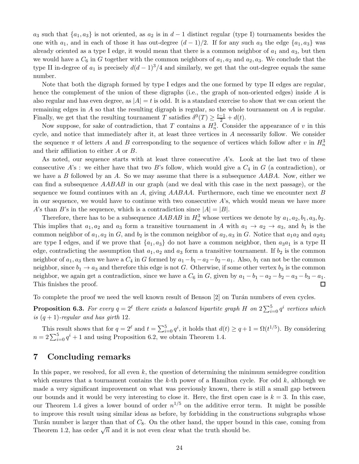$a_3$  such that  $\{a_1, a_3\}$  is not oriented, as  $a_2$  is in  $d-1$  distinct regular (type I) tournaments besides the one with  $a_1$ , and in each of those it has out-degree  $(d-1)/2$ . If for any such  $a_3$  the edge  $\{a_1, a_3\}$  was already oriented as a type I edge, it would mean that there is a common neighbor of  $a_1$  and  $a_3$ , but then we would have a  $C_6$  in G together with the common neighbors of  $a_1, a_2$  and  $a_2, a_3$ . We conclude that the type II in-degree of  $a_1$  is precisely  $d(d-1)^3/4$  and similarly, we get that the out-degree equals the same number.

Note that both the digraph formed by type I edges and the one formed by type II edges are regular, hence the complement of the union of these digraphs (i.e., the graph of non-oriented edges) inside  $A$  is also regular and has even degree, as  $|A| = t$  is odd. It is a standard exercise to show that we can orient the remaining edges in  $A$  so that the resulting digraph is regular, so the whole tournament on  $A$  is regular. Finally, we get that the resulting tournament T satisfies  $\delta^0(T) \geq \frac{t-1}{2} + d(t)$ .

Now suppose, for sake of contradiction, that T contains a  $H_n^3$ . Consider the appearance of v in this cycle, and notice that immediately after it, at least three vertices in A necessarily follow. We consider the sequence  $\pi$  of letters A and B corresponding to the sequence of vertices which follow after v in  $H_n^3$ and their affiliation to either A or B.

As noted, our sequence starts with at least three consecutive  $A$ 's. Look at the last two of these consecutive  $A$ 's : we either have that two B's follow, which would give a  $C_4$  in G (a contradiction), or we have a B followed by an A. So we may assume that there is a subsequence  $AABA$ . Now, either we can find a subsequence AABAB in our graph (and we deal with this case in the next passage), or the sequence we found continues with an A, giving  $AABAA$ . Furthermore, each time we encounter next B in our sequence, we would have to continue with two consecutive A's, which would mean we have more A's than B's in the sequence, which is a contradiction since  $|A| = |B|$ .

Therefore, there has to be a subsequence  $AABAB$  in  $H_n^3$  whose vertices we denote by  $a_1, a_2, b_1, a_3, b_2$ . This implies that  $a_1, a_2$  and  $a_3$  form a transitive tournament in A with  $a_1 \rightarrow a_2 \rightarrow a_3$ , and  $b_1$  is the common neighbor of  $a_1, a_2$  in G, and  $b_2$  is the common neighbor of  $a_2, a_3$  in G. Notice that  $a_1a_2$  and  $a_2a_3$ are type I edges, and if we prove that  $\{a_1, a_3\}$  do not have a common neighbor, then  $a_3a_1$  is a type II edge, contradicting the assumption that  $a_1, a_2$  and  $a_3$  form a transitive tournament. If  $b_2$  is the common neighbor of  $a_1, a_3$  then we have a  $C_4$  in G formed by  $a_1 - b_1 - a_2 - b_2 - a_1$ . Also,  $b_1$  can not be the common neighbor, since  $b_1 \rightarrow a_3$  and therefore this edge is not G. Otherwise, if some other vertex  $b_3$  is the common neighbor, we again get a contradiction, since we have a  $C_6$  in G, given by  $a_1 - b_1 - a_2 - b_2 - a_3 - b_3 - a_1$ . This finishes the proof.  $\Box$ 

To complete the proof we need the well known result of Benson [\[2](#page-24-16)] on Turán numbers of even cycles.

**Proposition 6.3.** For every  $q = 2^{\ell}$  there exists a balanced bipartite graph H on  $2\sum_{i=0}^{5} q^i$  vertices which is  $(q + 1)$ -regular and has girth 12.

This result shows that for  $q = 2^{\ell}$  and  $t = \sum_{i=0}^{5} q^{i}$ , it holds that  $d(t) \geq q + 1 = \Omega(t^{1/5})$ . By considering  $n = 2\sum_{i=0}^{5} q^{i} + 1$  and using Proposition [6.2,](#page-22-0) we obtain Theorem [1.4.](#page-1-2)

### <span id="page-23-0"></span>7 Concluding remarks

In this paper, we resolved, for all even  $k$ , the question of determining the minimum semidegree condition which ensures that a tournament contains the k-th power of a Hamilton cycle. For odd  $k$ , although we made a very significant improvement on what was previously known, there is still a small gap between our bounds and it would be very interesting to close it. Here, the first open case is  $k = 3$ . In this case, our Theorem [1.4](#page-1-2) gives a lower bound of order  $n^{1/5}$  on the additive error term. It might be possible to improve this result using similar ideas as before, by forbidding in the constructions subgraphs whose Turán number is larger than that of  $C_8$ . On the other hand, the upper bound in this case, coming from Theorem [1.2,](#page-1-0) has order  $\sqrt{n}$  and it is not even clear what the truth should be.